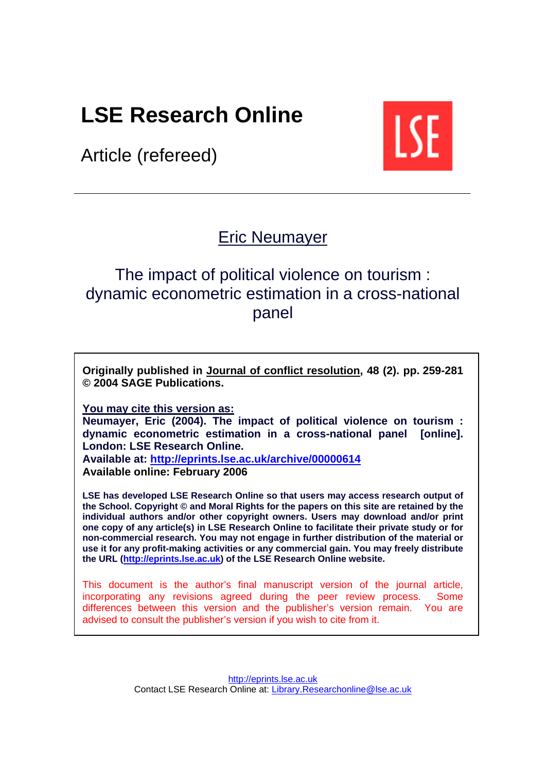# **LSE Research Online**

Article (refereed)



# Eric [Neumayer](http://www.lse.ac.uk/collections/geographyAndEnvironment/whosWho/profiles/e.neumayer@lse.ac.uk.htm)

# The impact of political violence on tourism : dynamic econometric estimation in a cross-national panel

**Originally published in [Journal of conflict resolution,](http://www.sagepub.com/journal.aspx?pid=21) 48 (2). pp. 259-281 © 2004 SAGE Publications.** 

**You may cite this version as:** 

**Neumayer, Eric (2004). The impact of political violence on tourism : dynamic econometric estimation in a cross-national panel [online]. London: LSE Research Online.** 

**Available at: <http://eprints.lse.ac.uk/archive/00000614> Available online: February 2006**

**LSE has developed LSE Research Online so that users may access research output of the School. Copyright © and Moral Rights for the papers on this site are retained by the individual authors and/or other copyright owners. Users may download and/or print one copy of any article(s) in LSE Research Online to facilitate their private study or for non-commercial research. You may not engage in further distribution of the material or use it for any profit-making activities or any commercial gain. You may freely distribute the URL [\(http://eprints.lse.ac.uk\)](http://eprints.lse.ac.uk/) of the LSE Research Online website.** 

This document is the author's final manuscript version of the journal article, incorporating any revisions agreed during the peer review process. Some differences between this version and the publisher's version remain. You are advised to consult the publisher's version if you wish to cite from it.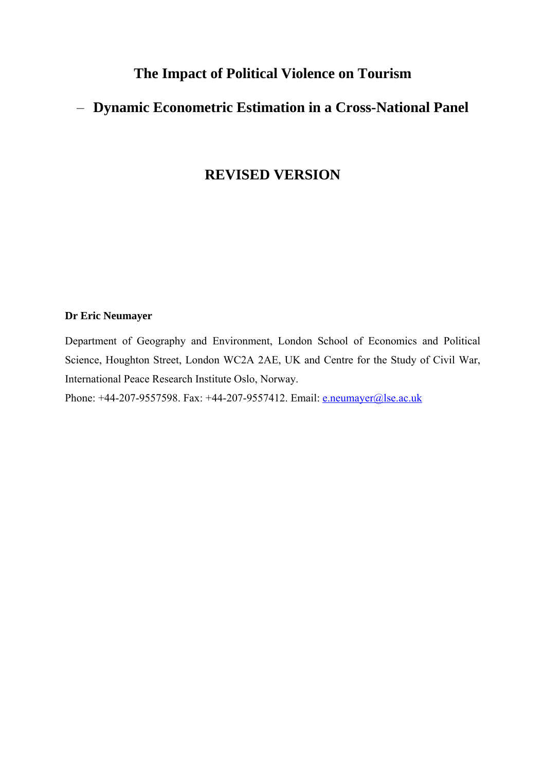# **The Impact of Political Violence on Tourism**

# – **Dynamic Econometric Estimation in a Cross-National Panel**

### **REVISED VERSION**

# **Dr Eric Neumayer**

Department of Geography and Environment, London School of Economics and Political Science, Houghton Street, London WC2A 2AE, UK and Centre for the Study of Civil War, International Peace Research Institute Oslo, Norway.

Phone: +44-207-9557598. Fax: +44-207-9557412. Email: [e.neumayer@lse.ac.uk](mailto:e.neumayer@lse.ac.uk)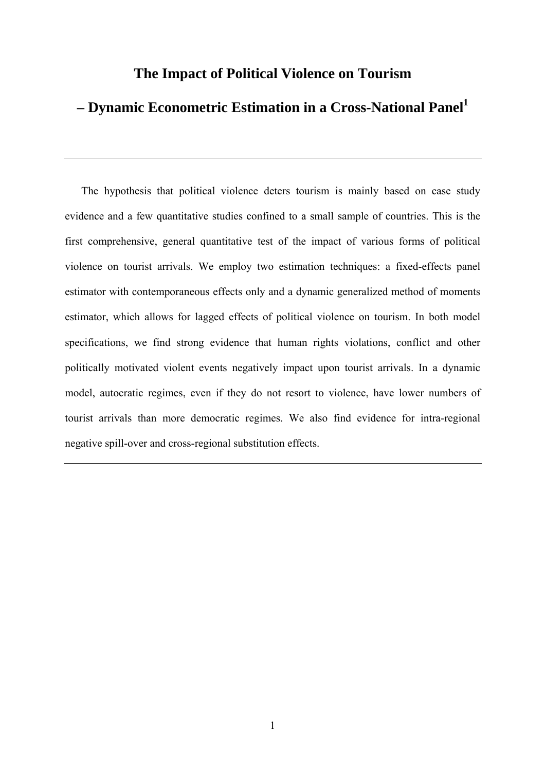### **The Impact of Political Violence on Tourism**

# **– Dynamic Econometric Estimation in a Cross-National Pane[l1](#page-31-0)**

The hypothesis that political violence deters tourism is mainly based on case study evidence and a few quantitative studies confined to a small sample of countries. This is the first comprehensive, general quantitative test of the impact of various forms of political violence on tourist arrivals. We employ two estimation techniques: a fixed-effects panel estimator with contemporaneous effects only and a dynamic generalized method of moments estimator, which allows for lagged effects of political violence on tourism. In both model specifications, we find strong evidence that human rights violations, conflict and other politically motivated violent events negatively impact upon tourist arrivals. In a dynamic model, autocratic regimes, even if they do not resort to violence, have lower numbers of tourist arrivals than more democratic regimes. We also find evidence for intra-regional negative spill-over and cross-regional substitution effects.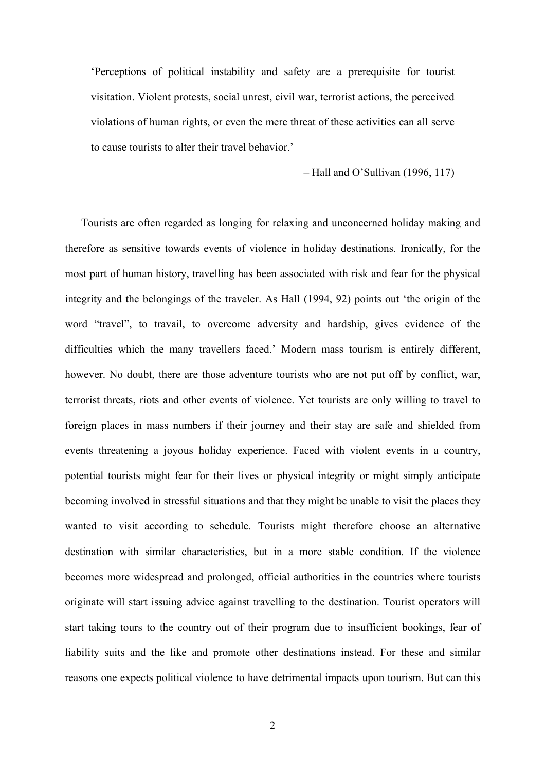'Perceptions of political instability and safety are a prerequisite for tourist visitation. Violent protests, social unrest, civil war, terrorist actions, the perceived violations of human rights, or even the mere threat of these activities can all serve to cause tourists to alter their travel behavior.'

– Hall and O'Sullivan (1996, 117)

Tourists are often regarded as longing for relaxing and unconcerned holiday making and therefore as sensitive towards events of violence in holiday destinations. Ironically, for the most part of human history, travelling has been associated with risk and fear for the physical integrity and the belongings of the traveler. As Hall (1994, 92) points out 'the origin of the word "travel", to travail, to overcome adversity and hardship, gives evidence of the difficulties which the many travellers faced.' Modern mass tourism is entirely different, however. No doubt, there are those adventure tourists who are not put off by conflict, war, terrorist threats, riots and other events of violence. Yet tourists are only willing to travel to foreign places in mass numbers if their journey and their stay are safe and shielded from events threatening a joyous holiday experience. Faced with violent events in a country, potential tourists might fear for their lives or physical integrity or might simply anticipate becoming involved in stressful situations and that they might be unable to visit the places they wanted to visit according to schedule. Tourists might therefore choose an alternative destination with similar characteristics, but in a more stable condition. If the violence becomes more widespread and prolonged, official authorities in the countries where tourists originate will start issuing advice against travelling to the destination. Tourist operators will start taking tours to the country out of their program due to insufficient bookings, fear of liability suits and the like and promote other destinations instead. For these and similar reasons one expects political violence to have detrimental impacts upon tourism. But can this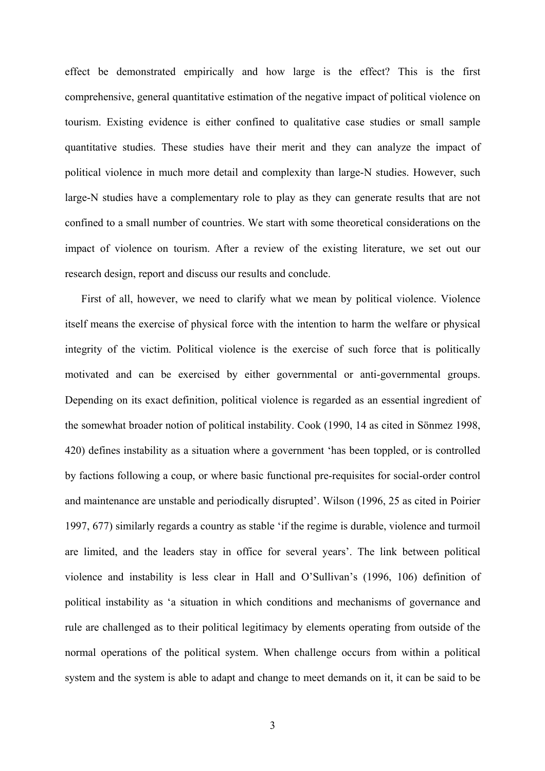effect be demonstrated empirically and how large is the effect? This is the first comprehensive, general quantitative estimation of the negative impact of political violence on tourism. Existing evidence is either confined to qualitative case studies or small sample quantitative studies. These studies have their merit and they can analyze the impact of political violence in much more detail and complexity than large-N studies. However, such large-N studies have a complementary role to play as they can generate results that are not confined to a small number of countries. We start with some theoretical considerations on the impact of violence on tourism. After a review of the existing literature, we set out our research design, report and discuss our results and conclude.

First of all, however, we need to clarify what we mean by political violence. Violence itself means the exercise of physical force with the intention to harm the welfare or physical integrity of the victim. Political violence is the exercise of such force that is politically motivated and can be exercised by either governmental or anti-governmental groups. Depending on its exact definition, political violence is regarded as an essential ingredient of the somewhat broader notion of political instability. Cook (1990, 14 as cited in Sönmez 1998, 420) defines instability as a situation where a government 'has been toppled, or is controlled by factions following a coup, or where basic functional pre-requisites for social-order control and maintenance are unstable and periodically disrupted'. Wilson (1996, 25 as cited in Poirier 1997, 677) similarly regards a country as stable 'if the regime is durable, violence and turmoil are limited, and the leaders stay in office for several years'. The link between political violence and instability is less clear in Hall and O'Sullivan's (1996, 106) definition of political instability as 'a situation in which conditions and mechanisms of governance and rule are challenged as to their political legitimacy by elements operating from outside of the normal operations of the political system. When challenge occurs from within a political system and the system is able to adapt and change to meet demands on it, it can be said to be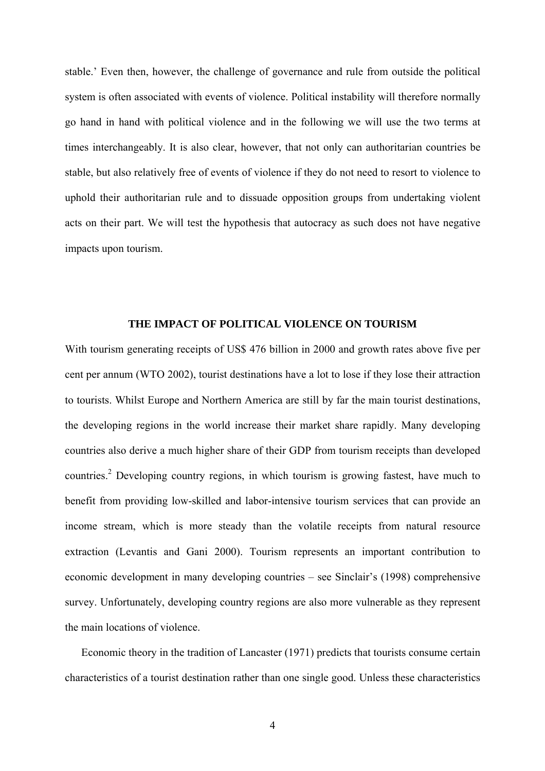stable.' Even then, however, the challenge of governance and rule from outside the political system is often associated with events of violence. Political instability will therefore normally go hand in hand with political violence and in the following we will use the two terms at times interchangeably. It is also clear, however, that not only can authoritarian countries be stable, but also relatively free of events of violence if they do not need to resort to violence to uphold their authoritarian rule and to dissuade opposition groups from undertaking violent acts on their part. We will test the hypothesis that autocracy as such does not have negative impacts upon tourism.

#### **THE IMPACT OF POLITICAL VIOLENCE ON TOURISM**

With tourism generating receipts of US\$ 476 billion in 2000 and growth rates above five per cent per annum (WTO 2002), tourist destinations have a lot to lose if they lose their attraction to tourists. Whilst Europe and Northern America are still by far the main tourist destinations, the developing regions in the world increase their market share rapidly. Many developing countries also derive a much higher share of their GDP from tourism receipts than developed countries.<sup>[2](#page-31-1)</sup> Developing country regions, in which tourism is growing fastest, have much to benefit from providing low-skilled and labor-intensive tourism services that can provide an income stream, which is more steady than the volatile receipts from natural resource extraction (Levantis and Gani 2000). Tourism represents an important contribution to economic development in many developing countries – see Sinclair's (1998) comprehensive survey. Unfortunately, developing country regions are also more vulnerable as they represent the main locations of violence.

Economic theory in the tradition of Lancaster (1971) predicts that tourists consume certain characteristics of a tourist destination rather than one single good. Unless these characteristics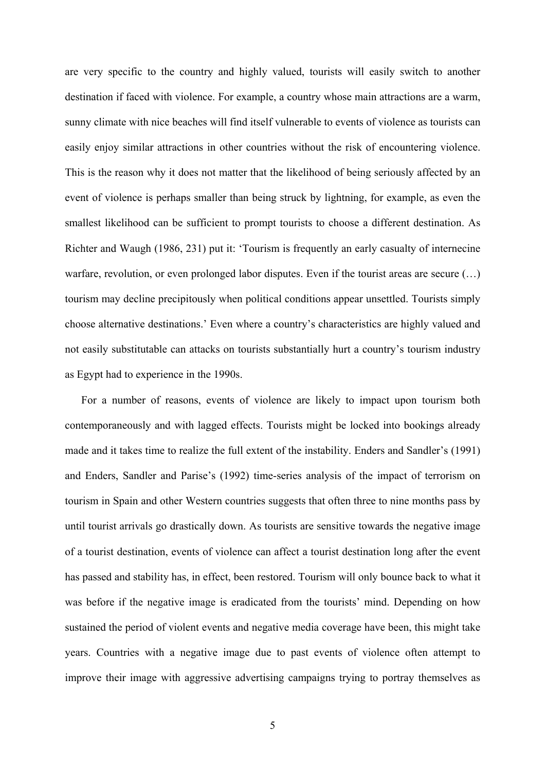are very specific to the country and highly valued, tourists will easily switch to another destination if faced with violence. For example, a country whose main attractions are a warm, sunny climate with nice beaches will find itself vulnerable to events of violence as tourists can easily enjoy similar attractions in other countries without the risk of encountering violence. This is the reason why it does not matter that the likelihood of being seriously affected by an event of violence is perhaps smaller than being struck by lightning, for example, as even the smallest likelihood can be sufficient to prompt tourists to choose a different destination. As Richter and Waugh (1986, 231) put it: 'Tourism is frequently an early casualty of internecine warfare, revolution, or even prolonged labor disputes. Even if the tourist areas are secure (…) tourism may decline precipitously when political conditions appear unsettled. Tourists simply choose alternative destinations.' Even where a country's characteristics are highly valued and not easily substitutable can attacks on tourists substantially hurt a country's tourism industry as Egypt had to experience in the 1990s.

For a number of reasons, events of violence are likely to impact upon tourism both contemporaneously and with lagged effects. Tourists might be locked into bookings already made and it takes time to realize the full extent of the instability. Enders and Sandler's (1991) and Enders, Sandler and Parise's (1992) time-series analysis of the impact of terrorism on tourism in Spain and other Western countries suggests that often three to nine months pass by until tourist arrivals go drastically down. As tourists are sensitive towards the negative image of a tourist destination, events of violence can affect a tourist destination long after the event has passed and stability has, in effect, been restored. Tourism will only bounce back to what it was before if the negative image is eradicated from the tourists' mind. Depending on how sustained the period of violent events and negative media coverage have been, this might take years. Countries with a negative image due to past events of violence often attempt to improve their image with aggressive advertising campaigns trying to portray themselves as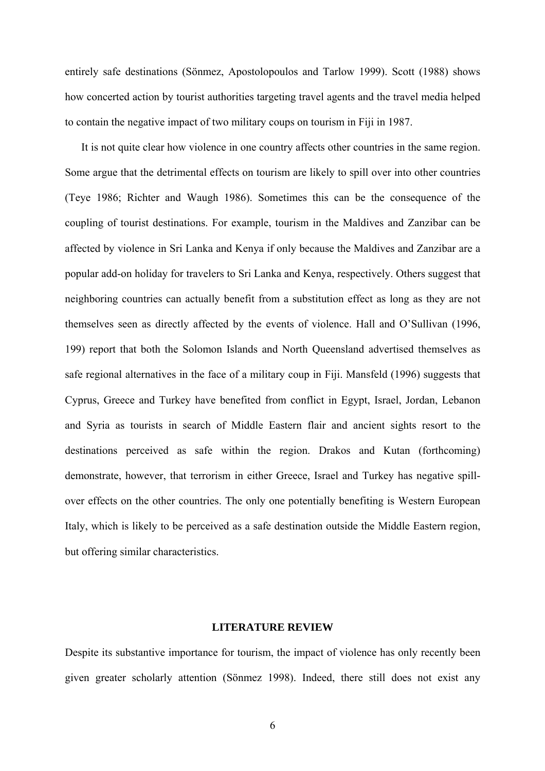entirely safe destinations (Sönmez, Apostolopoulos and Tarlow 1999). Scott (1988) shows how concerted action by tourist authorities targeting travel agents and the travel media helped to contain the negative impact of two military coups on tourism in Fiji in 1987.

It is not quite clear how violence in one country affects other countries in the same region. Some argue that the detrimental effects on tourism are likely to spill over into other countries (Teye 1986; Richter and Waugh 1986). Sometimes this can be the consequence of the coupling of tourist destinations. For example, tourism in the Maldives and Zanzibar can be affected by violence in Sri Lanka and Kenya if only because the Maldives and Zanzibar are a popular add-on holiday for travelers to Sri Lanka and Kenya, respectively. Others suggest that neighboring countries can actually benefit from a substitution effect as long as they are not themselves seen as directly affected by the events of violence. Hall and O'Sullivan (1996, 199) report that both the Solomon Islands and North Queensland advertised themselves as safe regional alternatives in the face of a military coup in Fiji. Mansfeld (1996) suggests that Cyprus, Greece and Turkey have benefited from conflict in Egypt, Israel, Jordan, Lebanon and Syria as tourists in search of Middle Eastern flair and ancient sights resort to the destinations perceived as safe within the region. Drakos and Kutan (forthcoming) demonstrate, however, that terrorism in either Greece, Israel and Turkey has negative spillover effects on the other countries. The only one potentially benefiting is Western European Italy, which is likely to be perceived as a safe destination outside the Middle Eastern region, but offering similar characteristics.

#### **LITERATURE REVIEW**

Despite its substantive importance for tourism, the impact of violence has only recently been given greater scholarly attention (Sönmez 1998). Indeed, there still does not exist any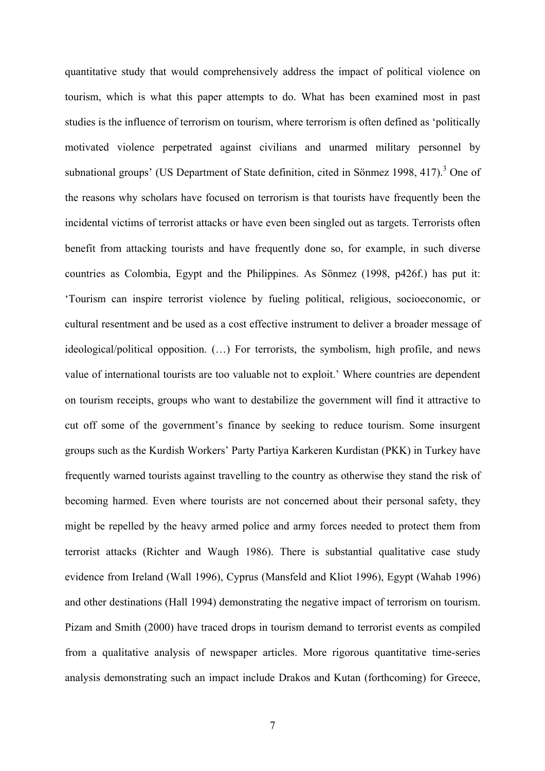quantitative study that would comprehensively address the impact of political violence on tourism, which is what this paper attempts to do. What has been examined most in past studies is the influence of terrorism on tourism, where terrorism is often defined as 'politically motivated violence perpetrated against civilians and unarmed military personnel by subnational groups' (US Department of State definition, cited in Sönmez 1998, 417).<sup>[3](#page-31-2)</sup> One of the reasons why scholars have focused on terrorism is that tourists have frequently been the incidental victims of terrorist attacks or have even been singled out as targets. Terrorists often benefit from attacking tourists and have frequently done so, for example, in such diverse countries as Colombia, Egypt and the Philippines. As Sönmez (1998, p426f.) has put it: 'Tourism can inspire terrorist violence by fueling political, religious, socioeconomic, or cultural resentment and be used as a cost effective instrument to deliver a broader message of ideological/political opposition. (…) For terrorists, the symbolism, high profile, and news value of international tourists are too valuable not to exploit.' Where countries are dependent on tourism receipts, groups who want to destabilize the government will find it attractive to cut off some of the government's finance by seeking to reduce tourism. Some insurgent groups such as the Kurdish Workers' Party Partiya Karkeren Kurdistan (PKK) in Turkey have frequently warned tourists against travelling to the country as otherwise they stand the risk of becoming harmed. Even where tourists are not concerned about their personal safety, they might be repelled by the heavy armed police and army forces needed to protect them from terrorist attacks (Richter and Waugh 1986). There is substantial qualitative case study evidence from Ireland (Wall 1996), Cyprus (Mansfeld and Kliot 1996), Egypt (Wahab 1996) and other destinations (Hall 1994) demonstrating the negative impact of terrorism on tourism. Pizam and Smith (2000) have traced drops in tourism demand to terrorist events as compiled from a qualitative analysis of newspaper articles. More rigorous quantitative time-series analysis demonstrating such an impact include Drakos and Kutan (forthcoming) for Greece,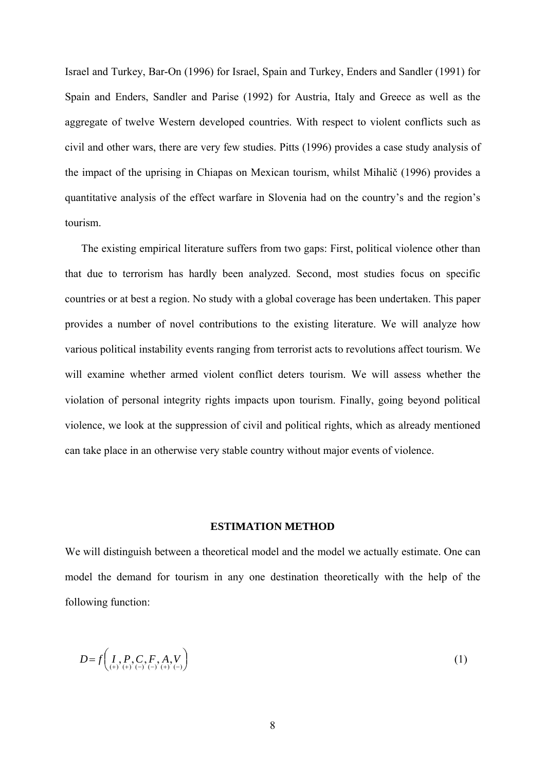Israel and Turkey, Bar-On (1996) for Israel, Spain and Turkey, Enders and Sandler (1991) for Spain and Enders, Sandler and Parise (1992) for Austria, Italy and Greece as well as the aggregate of twelve Western developed countries. With respect to violent conflicts such as civil and other wars, there are very few studies. Pitts (1996) provides a case study analysis of the impact of the uprising in Chiapas on Mexican tourism, whilst Mihalič (1996) provides a quantitative analysis of the effect warfare in Slovenia had on the country's and the region's tourism.

The existing empirical literature suffers from two gaps: First, political violence other than that due to terrorism has hardly been analyzed. Second, most studies focus on specific countries or at best a region. No study with a global coverage has been undertaken. This paper provides a number of novel contributions to the existing literature. We will analyze how various political instability events ranging from terrorist acts to revolutions affect tourism. We will examine whether armed violent conflict deters tourism. We will assess whether the violation of personal integrity rights impacts upon tourism. Finally, going beyond political violence, we look at the suppression of civil and political rights, which as already mentioned can take place in an otherwise very stable country without major events of violence.

#### **ESTIMATION METHOD**

We will distinguish between a theoretical model and the model we actually estimate. One can model the demand for tourism in any one destination theoretically with the help of the following function:

$$
D = f\left(\underset{{\scriptscriptstyle(+)}}{I}, \underset{{\scriptscriptstyle(+)}}{P}, \underset{{\scriptscriptstyle(-)}}{C}, \underset{{\scriptscriptstyle(+)}}{F}, A, V\right) \tag{1}
$$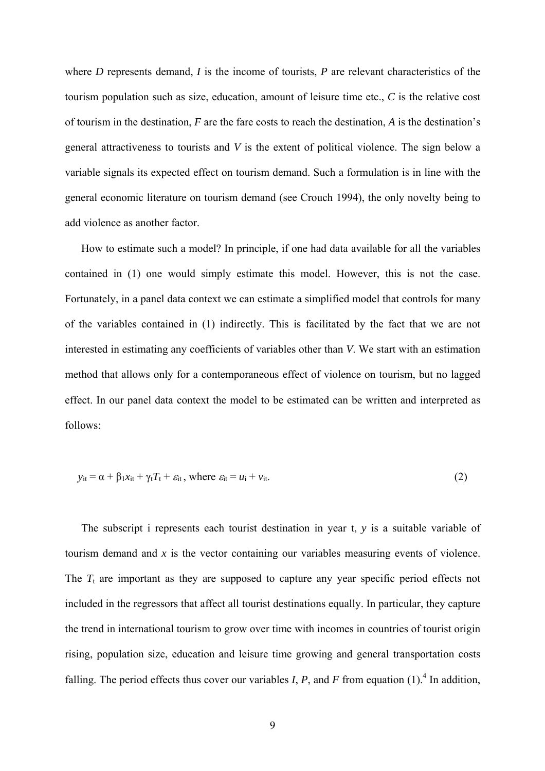where *D* represents demand, *I* is the income of tourists, *P* are relevant characteristics of the tourism population such as size, education, amount of leisure time etc., *C* is the relative cost of tourism in the destination, *F* are the fare costs to reach the destination, *A* is the destination's general attractiveness to tourists and *V* is the extent of political violence. The sign below a variable signals its expected effect on tourism demand. Such a formulation is in line with the general economic literature on tourism demand (see Crouch 1994), the only novelty being to add violence as another factor.

How to estimate such a model? In principle, if one had data available for all the variables contained in (1) one would simply estimate this model. However, this is not the case. Fortunately, in a panel data context we can estimate a simplified model that controls for many of the variables contained in (1) indirectly. This is facilitated by the fact that we are not interested in estimating any coefficients of variables other than *V*. We start with an estimation method that allows only for a contemporaneous effect of violence on tourism, but no lagged effect. In our panel data context the model to be estimated can be written and interpreted as follows:

$$
y_{it} = \alpha + \beta_1 x_{it} + \gamma_t T_t + \varepsilon_{it}, \text{ where } \varepsilon_{it} = u_i + v_{it}. \tag{2}
$$

The subscript i represents each tourist destination in year t, *y* is a suitable variable of tourism demand and *x* is the vector containing our variables measuring events of violence. The  $T_t$  are important as they are supposed to capture any year specific period effects not included in the regressors that affect all tourist destinations equally. In particular, they capture the trend in international tourism to grow over time with incomes in countries of tourist origin rising, population size, education and leisure time growing and general transportation costs falling. The period effects thus cover our variables *I*, *P*, and *F* from equation  $(1)$ .<sup>[4](#page-31-3)</sup> In addition,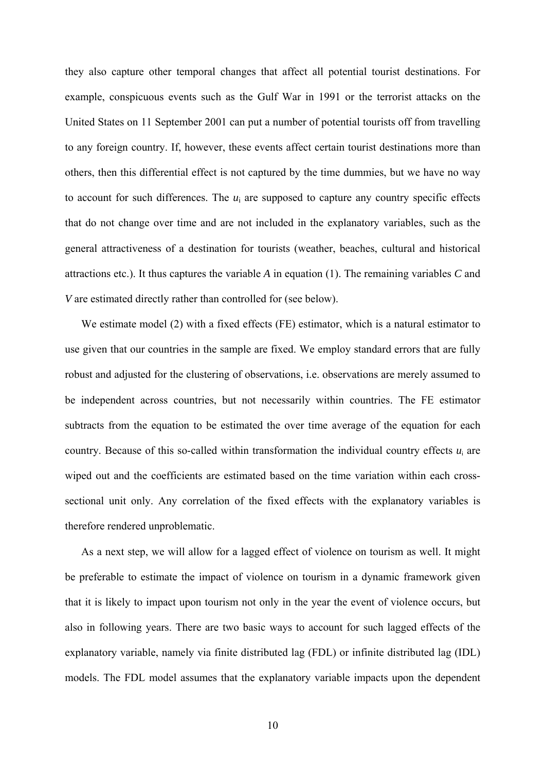they also capture other temporal changes that affect all potential tourist destinations. For example, conspicuous events such as the Gulf War in 1991 or the terrorist attacks on the United States on 11 September 2001 can put a number of potential tourists off from travelling to any foreign country. If, however, these events affect certain tourist destinations more than others, then this differential effect is not captured by the time dummies, but we have no way to account for such differences. The *u*i are supposed to capture any country specific effects that do not change over time and are not included in the explanatory variables, such as the general attractiveness of a destination for tourists (weather, beaches, cultural and historical attractions etc.). It thus captures the variable *A* in equation (1). The remaining variables *C* and *V* are estimated directly rather than controlled for (see below).

We estimate model (2) with a fixed effects (FE) estimator, which is a natural estimator to use given that our countries in the sample are fixed. We employ standard errors that are fully robust and adjusted for the clustering of observations, i.e. observations are merely assumed to be independent across countries, but not necessarily within countries. The FE estimator subtracts from the equation to be estimated the over time average of the equation for each country. Because of this so-called within transformation the individual country effects  $u_i$  are wiped out and the coefficients are estimated based on the time variation within each crosssectional unit only. Any correlation of the fixed effects with the explanatory variables is therefore rendered unproblematic.

As a next step, we will allow for a lagged effect of violence on tourism as well. It might be preferable to estimate the impact of violence on tourism in a dynamic framework given that it is likely to impact upon tourism not only in the year the event of violence occurs, but also in following years. There are two basic ways to account for such lagged effects of the explanatory variable, namely via finite distributed lag (FDL) or infinite distributed lag (IDL) models. The FDL model assumes that the explanatory variable impacts upon the dependent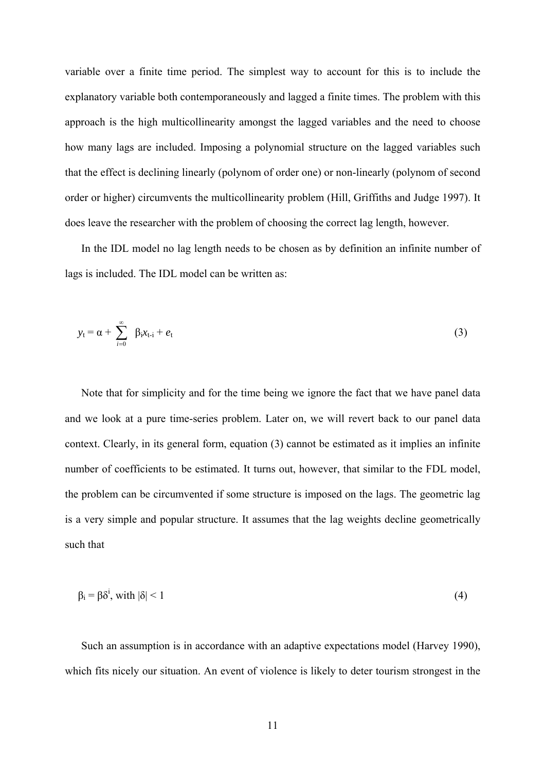variable over a finite time period. The simplest way to account for this is to include the explanatory variable both contemporaneously and lagged a finite times. The problem with this approach is the high multicollinearity amongst the lagged variables and the need to choose how many lags are included. Imposing a polynomial structure on the lagged variables such that the effect is declining linearly (polynom of order one) or non-linearly (polynom of second order or higher) circumvents the multicollinearity problem (Hill, Griffiths and Judge 1997). It does leave the researcher with the problem of choosing the correct lag length, however.

In the IDL model no lag length needs to be chosen as by definition an infinite number of lags is included. The IDL model can be written as:

$$
y_t = \alpha + \sum_{i=0}^{\infty} \beta_i x_{t-i} + e_t \tag{3}
$$

Note that for simplicity and for the time being we ignore the fact that we have panel data and we look at a pure time-series problem. Later on, we will revert back to our panel data context. Clearly, in its general form, equation (3) cannot be estimated as it implies an infinite number of coefficients to be estimated. It turns out, however, that similar to the FDL model, the problem can be circumvented if some structure is imposed on the lags. The geometric lag is a very simple and popular structure. It assumes that the lag weights decline geometrically such that

$$
\beta_i = \beta \delta^i, \text{ with } |\delta| < 1 \tag{4}
$$

Such an assumption is in accordance with an adaptive expectations model (Harvey 1990), which fits nicely our situation. An event of violence is likely to deter tourism strongest in the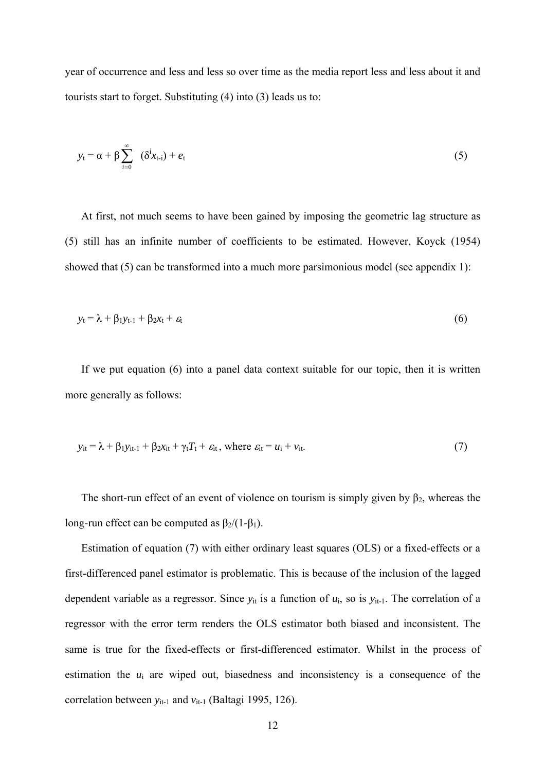year of occurrence and less and less so over time as the media report less and less about it and tourists start to forget. Substituting (4) into (3) leads us to:

$$
y_t = \alpha + \beta \sum_{i=0}^{\infty} (\delta^i x_{t-i}) + e_t
$$
 (5)

At first, not much seems to have been gained by imposing the geometric lag structure as (5) still has an infinite number of coefficients to be estimated. However, Koyck (1954) showed that  $(5)$  can be transformed into a much more parsimonious model (see appendix 1):

$$
y_t = \lambda + \beta_1 y_{t-1} + \beta_2 x_t + \varepsilon_t \tag{6}
$$

If we put equation (6) into a panel data context suitable for our topic, then it is written more generally as follows:

$$
y_{it} = \lambda + \beta_1 y_{it-1} + \beta_2 x_{it} + \gamma_t T_t + \varepsilon_{it}, \text{ where } \varepsilon_{it} = u_i + v_{it}. \tag{7}
$$

The short-run effect of an event of violence on tourism is simply given by  $\beta_2$ , whereas the long-run effect can be computed as  $\beta_2/(1-\beta_1)$ .

Estimation of equation (7) with either ordinary least squares (OLS) or a fixed-effects or a first-differenced panel estimator is problematic. This is because of the inclusion of the lagged dependent variable as a regressor. Since  $y_{it}$  is a function of  $u_i$ , so is  $y_{it-1}$ . The correlation of a regressor with the error term renders the OLS estimator both biased and inconsistent. The same is true for the fixed-effects or first-differenced estimator. Whilst in the process of estimation the  $u_i$  are wiped out, biasedness and inconsistency is a consequence of the correlation between *y*<sub>it-1</sub> and *v*<sub>it-1</sub> (Baltagi 1995, 126).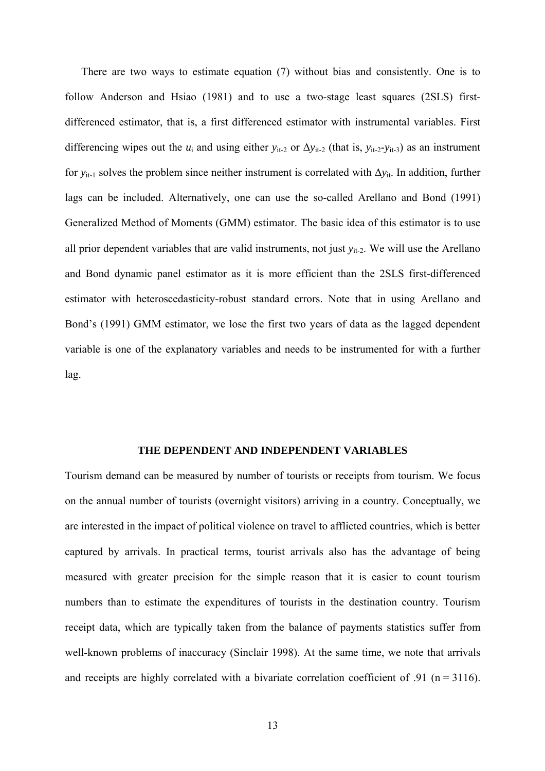There are two ways to estimate equation (7) without bias and consistently. One is to follow Anderson and Hsiao (1981) and to use a two-stage least squares (2SLS) firstdifferenced estimator, that is, a first differenced estimator with instrumental variables. First differencing wipes out the  $u_i$  and using either  $y_{it-2}$  or  $\Delta y_{it-2}$  (that is,  $y_{it-2}-y_{it-3}$ ) as an instrument for *y*<sub>it-1</sub> solves the problem since neither instrument is correlated with ∆*y*<sub>it</sub>. In addition, further lags can be included. Alternatively, one can use the so-called Arellano and Bond (1991) Generalized Method of Moments (GMM) estimator. The basic idea of this estimator is to use all prior dependent variables that are valid instruments, not just *y*<sub>it-2</sub>. We will use the Arellano and Bond dynamic panel estimator as it is more efficient than the 2SLS first-differenced estimator with heteroscedasticity-robust standard errors. Note that in using Arellano and Bond's (1991) GMM estimator, we lose the first two years of data as the lagged dependent variable is one of the explanatory variables and needs to be instrumented for with a further lag.

#### **THE DEPENDENT AND INDEPENDENT VARIABLES**

Tourism demand can be measured by number of tourists or receipts from tourism. We focus on the annual number of tourists (overnight visitors) arriving in a country. Conceptually, we are interested in the impact of political violence on travel to afflicted countries, which is better captured by arrivals. In practical terms, tourist arrivals also has the advantage of being measured with greater precision for the simple reason that it is easier to count tourism numbers than to estimate the expenditures of tourists in the destination country. Tourism receipt data, which are typically taken from the balance of payments statistics suffer from well-known problems of inaccuracy (Sinclair 1998). At the same time, we note that arrivals and receipts are highly correlated with a bivariate correlation coefficient of  $.91$  (n = 3116).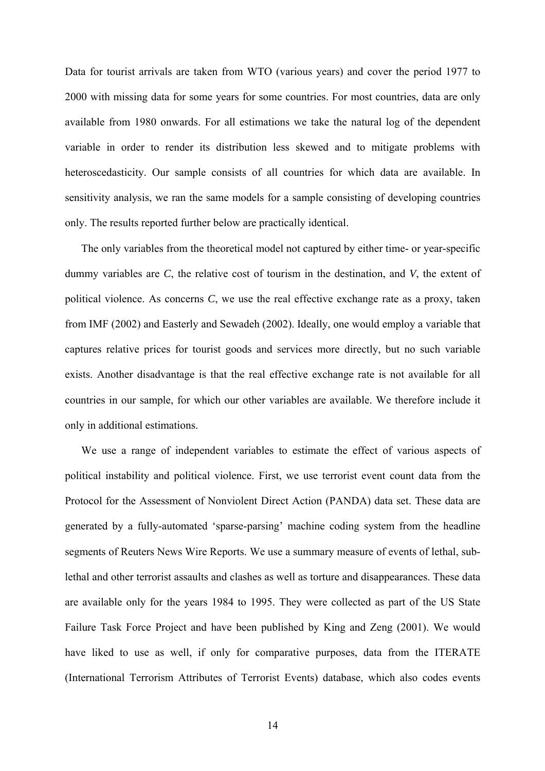Data for tourist arrivals are taken from WTO (various years) and cover the period 1977 to 2000 with missing data for some years for some countries. For most countries, data are only available from 1980 onwards. For all estimations we take the natural log of the dependent variable in order to render its distribution less skewed and to mitigate problems with heteroscedasticity. Our sample consists of all countries for which data are available. In sensitivity analysis, we ran the same models for a sample consisting of developing countries only. The results reported further below are practically identical.

The only variables from the theoretical model not captured by either time- or year-specific dummy variables are *C*, the relative cost of tourism in the destination, and *V*, the extent of political violence. As concerns *C*, we use the real effective exchange rate as a proxy, taken from IMF (2002) and Easterly and Sewadeh (2002). Ideally, one would employ a variable that captures relative prices for tourist goods and services more directly, but no such variable exists. Another disadvantage is that the real effective exchange rate is not available for all countries in our sample, for which our other variables are available. We therefore include it only in additional estimations.

We use a range of independent variables to estimate the effect of various aspects of political instability and political violence. First, we use terrorist event count data from the Protocol for the Assessment of Nonviolent Direct Action (PANDA) data set. These data are generated by a fully-automated 'sparse-parsing' machine coding system from the headline segments of Reuters News Wire Reports. We use a summary measure of events of lethal, sublethal and other terrorist assaults and clashes as well as torture and disappearances. These data are available only for the years 1984 to 1995. They were collected as part of the US State Failure Task Force Project and have been published by King and Zeng (2001). We would have liked to use as well, if only for comparative purposes, data from the ITERATE (International Terrorism Attributes of Terrorist Events) database, which also codes events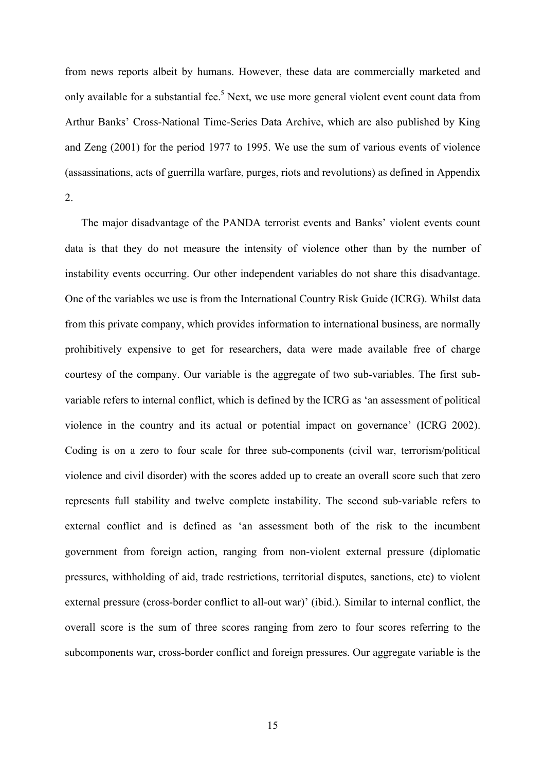from news reports albeit by humans. However, these data are commercially marketed and only available for a substantial fee.<sup>5</sup> Next, we use more general violent event count data from Arthur Banks' Cross-National Time-Series Data Archive, which are also published by King and Zeng (2001) for the period 1977 to 1995. We use the sum of various events of violence (assassinations, acts of guerrilla warfare, purges, riots and revolutions) as defined in Appendix 2.

The major disadvantage of the PANDA terrorist events and Banks' violent events count data is that they do not measure the intensity of violence other than by the number of instability events occurring. Our other independent variables do not share this disadvantage. One of the variables we use is from the International Country Risk Guide (ICRG). Whilst data from this private company, which provides information to international business, are normally prohibitively expensive to get for researchers, data were made available free of charge courtesy of the company. Our variable is the aggregate of two sub-variables. The first subvariable refers to internal conflict, which is defined by the ICRG as 'an assessment of political violence in the country and its actual or potential impact on governance' (ICRG 2002). Coding is on a zero to four scale for three sub-components (civil war, terrorism/political violence and civil disorder) with the scores added up to create an overall score such that zero represents full stability and twelve complete instability. The second sub-variable refers to external conflict and is defined as 'an assessment both of the risk to the incumbent government from foreign action, ranging from non-violent external pressure (diplomatic pressures, withholding of aid, trade restrictions, territorial disputes, sanctions, etc) to violent external pressure (cross-border conflict to all-out war)' (ibid.). Similar to internal conflict, the overall score is the sum of three scores ranging from zero to four scores referring to the subcomponents war, cross-border conflict and foreign pressures. Our aggregate variable is the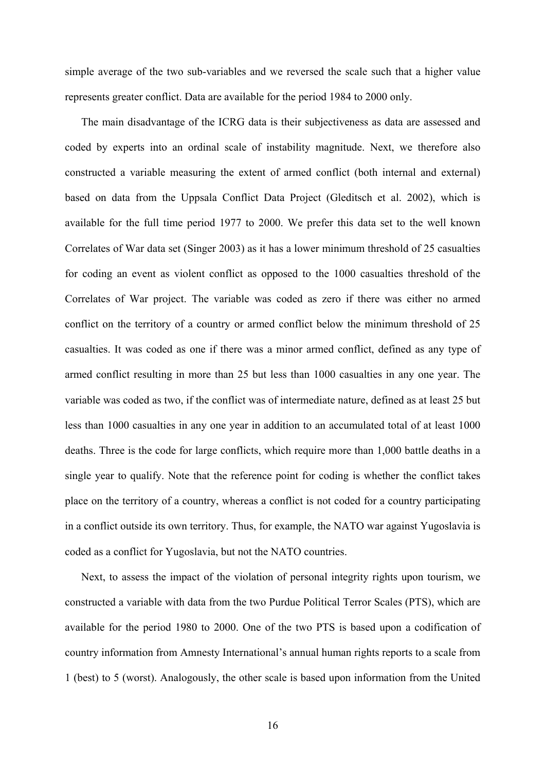simple average of the two sub-variables and we reversed the scale such that a higher value represents greater conflict. Data are available for the period 1984 to 2000 only.

The main disadvantage of the ICRG data is their subjectiveness as data are assessed and coded by experts into an ordinal scale of instability magnitude. Next, we therefore also constructed a variable measuring the extent of armed conflict (both internal and external) based on data from the Uppsala Conflict Data Project (Gleditsch et al. 2002), which is available for the full time period 1977 to 2000. We prefer this data set to the well known Correlates of War data set (Singer 2003) as it has a lower minimum threshold of 25 casualties for coding an event as violent conflict as opposed to the 1000 casualties threshold of the Correlates of War project. The variable was coded as zero if there was either no armed conflict on the territory of a country or armed conflict below the minimum threshold of 25 casualties. It was coded as one if there was a minor armed conflict, defined as any type of armed conflict resulting in more than 25 but less than 1000 casualties in any one year. The variable was coded as two, if the conflict was of intermediate nature, defined as at least 25 but less than 1000 casualties in any one year in addition to an accumulated total of at least 1000 deaths. Three is the code for large conflicts, which require more than 1,000 battle deaths in a single year to qualify. Note that the reference point for coding is whether the conflict takes place on the territory of a country, whereas a conflict is not coded for a country participating in a conflict outside its own territory. Thus, for example, the NATO war against Yugoslavia is coded as a conflict for Yugoslavia, but not the NATO countries.

Next, to assess the impact of the violation of personal integrity rights upon tourism, we constructed a variable with data from the two Purdue Political Terror Scales (PTS), which are available for the period 1980 to 2000. One of the two PTS is based upon a codification of country information from Amnesty International's annual human rights reports to a scale from 1 (best) to 5 (worst). Analogously, the other scale is based upon information from the United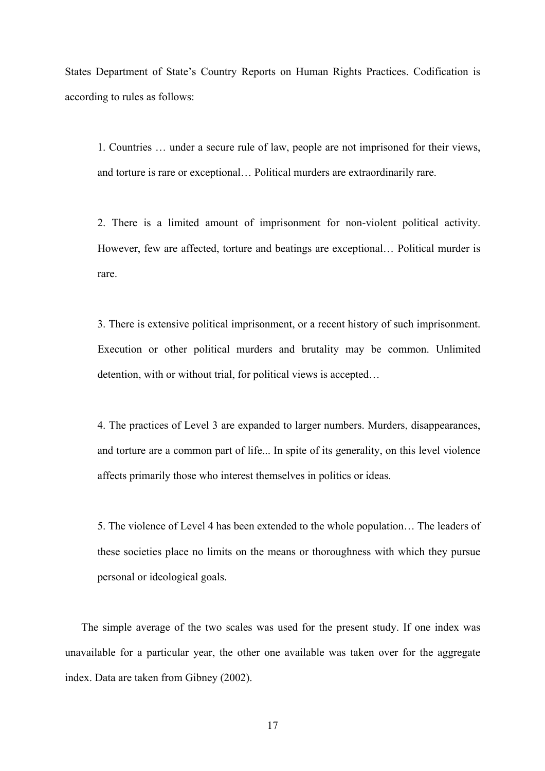States Department of State's Country Reports on Human Rights Practices. Codification is according to rules as follows:

1. Countries … under a secure rule of law, people are not imprisoned for their views, and torture is rare or exceptional… Political murders are extraordinarily rare.

2. There is a limited amount of imprisonment for non-violent political activity. However, few are affected, torture and beatings are exceptional… Political murder is rare.

3. There is extensive political imprisonment, or a recent history of such imprisonment. Execution or other political murders and brutality may be common. Unlimited detention, with or without trial, for political views is accepted…

4. The practices of Level 3 are expanded to larger numbers. Murders, disappearances, and torture are a common part of life... In spite of its generality, on this level violence affects primarily those who interest themselves in politics or ideas.

5. The violence of Level 4 has been extended to the whole population… The leaders of these societies place no limits on the means or thoroughness with which they pursue personal or ideological goals.

The simple average of the two scales was used for the present study. If one index was unavailable for a particular year, the other one available was taken over for the aggregate index. Data are taken from Gibney (2002).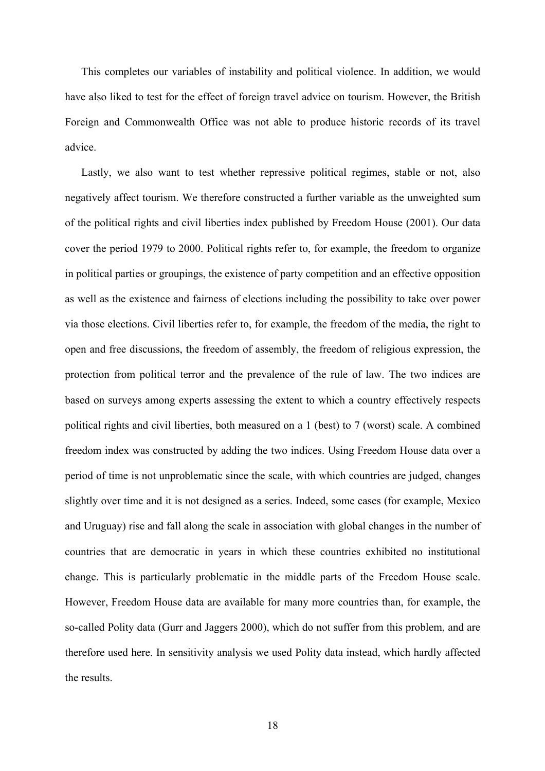This completes our variables of instability and political violence. In addition, we would have also liked to test for the effect of foreign travel advice on tourism. However, the British Foreign and Commonwealth Office was not able to produce historic records of its travel advice.

Lastly, we also want to test whether repressive political regimes, stable or not, also negatively affect tourism. We therefore constructed a further variable as the unweighted sum of the political rights and civil liberties index published by Freedom House (2001). Our data cover the period 1979 to 2000. Political rights refer to, for example, the freedom to organize in political parties or groupings, the existence of party competition and an effective opposition as well as the existence and fairness of elections including the possibility to take over power via those elections. Civil liberties refer to, for example, the freedom of the media, the right to open and free discussions, the freedom of assembly, the freedom of religious expression, the protection from political terror and the prevalence of the rule of law. The two indices are based on surveys among experts assessing the extent to which a country effectively respects political rights and civil liberties, both measured on a 1 (best) to 7 (worst) scale. A combined freedom index was constructed by adding the two indices. Using Freedom House data over a period of time is not unproblematic since the scale, with which countries are judged, changes slightly over time and it is not designed as a series. Indeed, some cases (for example, Mexico and Uruguay) rise and fall along the scale in association with global changes in the number of countries that are democratic in years in which these countries exhibited no institutional change. This is particularly problematic in the middle parts of the Freedom House scale. However, Freedom House data are available for many more countries than, for example, the so-called Polity data (Gurr and Jaggers 2000), which do not suffer from this problem, and are therefore used here. In sensitivity analysis we used Polity data instead, which hardly affected the results.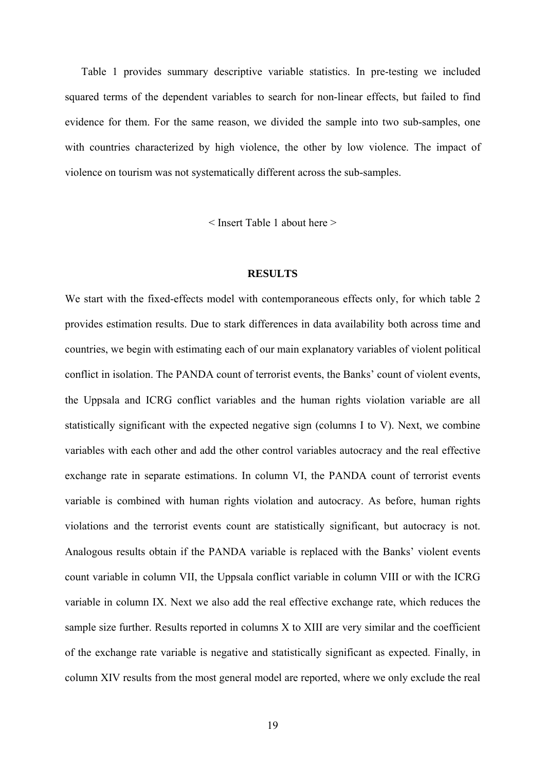Table 1 provides summary descriptive variable statistics. In pre-testing we included squared terms of the dependent variables to search for non-linear effects, but failed to find evidence for them. For the same reason, we divided the sample into two sub-samples, one with countries characterized by high violence, the other by low violence. The impact of violence on tourism was not systematically different across the sub-samples.

< Insert Table 1 about here >

#### **RESULTS**

We start with the fixed-effects model with contemporaneous effects only, for which table 2 provides estimation results. Due to stark differences in data availability both across time and countries, we begin with estimating each of our main explanatory variables of violent political conflict in isolation. The PANDA count of terrorist events, the Banks' count of violent events, the Uppsala and ICRG conflict variables and the human rights violation variable are all statistically significant with the expected negative sign (columns I to V). Next, we combine variables with each other and add the other control variables autocracy and the real effective exchange rate in separate estimations. In column VI, the PANDA count of terrorist events variable is combined with human rights violation and autocracy. As before, human rights violations and the terrorist events count are statistically significant, but autocracy is not. Analogous results obtain if the PANDA variable is replaced with the Banks' violent events count variable in column VII, the Uppsala conflict variable in column VIII or with the ICRG variable in column IX. Next we also add the real effective exchange rate, which reduces the sample size further. Results reported in columns X to XIII are very similar and the coefficient of the exchange rate variable is negative and statistically significant as expected. Finally, in column XIV results from the most general model are reported, where we only exclude the real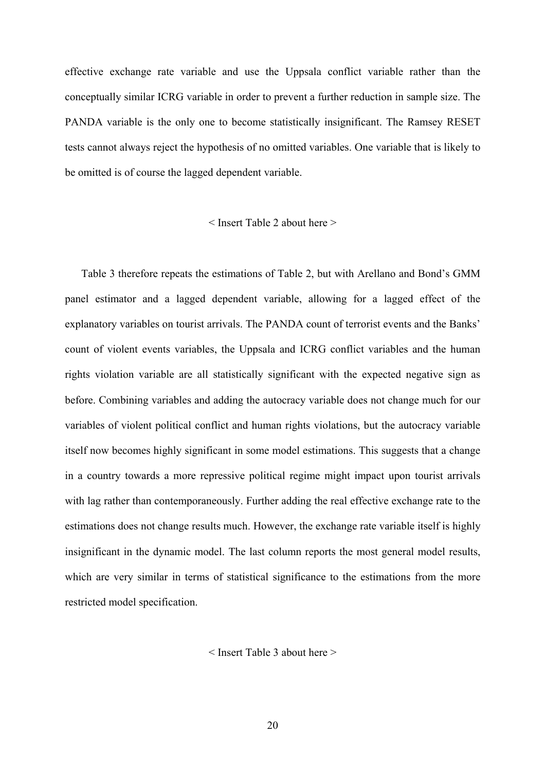effective exchange rate variable and use the Uppsala conflict variable rather than the conceptually similar ICRG variable in order to prevent a further reduction in sample size. The PANDA variable is the only one to become statistically insignificant. The Ramsey RESET tests cannot always reject the hypothesis of no omitted variables. One variable that is likely to be omitted is of course the lagged dependent variable.

#### < Insert Table 2 about here >

Table 3 therefore repeats the estimations of Table 2, but with Arellano and Bond's GMM panel estimator and a lagged dependent variable, allowing for a lagged effect of the explanatory variables on tourist arrivals. The PANDA count of terrorist events and the Banks' count of violent events variables, the Uppsala and ICRG conflict variables and the human rights violation variable are all statistically significant with the expected negative sign as before. Combining variables and adding the autocracy variable does not change much for our variables of violent political conflict and human rights violations, but the autocracy variable itself now becomes highly significant in some model estimations. This suggests that a change in a country towards a more repressive political regime might impact upon tourist arrivals with lag rather than contemporaneously. Further adding the real effective exchange rate to the estimations does not change results much. However, the exchange rate variable itself is highly insignificant in the dynamic model. The last column reports the most general model results, which are very similar in terms of statistical significance to the estimations from the more restricted model specification.

< Insert Table 3 about here >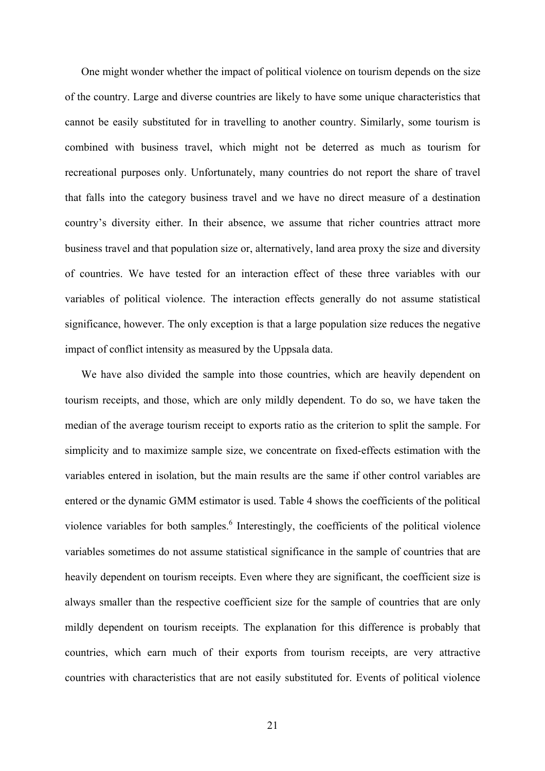One might wonder whether the impact of political violence on tourism depends on the size of the country. Large and diverse countries are likely to have some unique characteristics that cannot be easily substituted for in travelling to another country. Similarly, some tourism is combined with business travel, which might not be deterred as much as tourism for recreational purposes only. Unfortunately, many countries do not report the share of travel that falls into the category business travel and we have no direct measure of a destination country's diversity either. In their absence, we assume that richer countries attract more business travel and that population size or, alternatively, land area proxy the size and diversity of countries. We have tested for an interaction effect of these three variables with our variables of political violence. The interaction effects generally do not assume statistical significance, however. The only exception is that a large population size reduces the negative impact of conflict intensity as measured by the Uppsala data.

We have also divided the sample into those countries, which are heavily dependent on tourism receipts, and those, which are only mildly dependent. To do so, we have taken the median of the average tourism receipt to exports ratio as the criterion to split the sample. For simplicity and to maximize sample size, we concentrate on fixed-effects estimation with the variables entered in isolation, but the main results are the same if other control variables are entered or the dynamic GMM estimator is used. Table 4 shows the coefficients of the political violence variables for both samples. $<sup>6</sup>$  $<sup>6</sup>$  $<sup>6</sup>$  Interestingly, the coefficients of the political violence</sup> variables sometimes do not assume statistical significance in the sample of countries that are heavily dependent on tourism receipts. Even where they are significant, the coefficient size is always smaller than the respective coefficient size for the sample of countries that are only mildly dependent on tourism receipts. The explanation for this difference is probably that countries, which earn much of their exports from tourism receipts, are very attractive countries with characteristics that are not easily substituted for. Events of political violence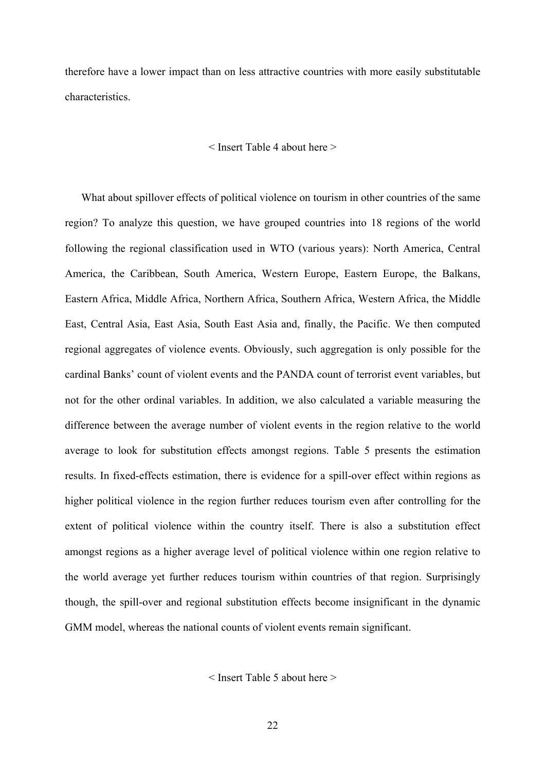therefore have a lower impact than on less attractive countries with more easily substitutable characteristics.

#### < Insert Table 4 about here >

What about spillover effects of political violence on tourism in other countries of the same region? To analyze this question, we have grouped countries into 18 regions of the world following the regional classification used in WTO (various years): North America, Central America, the Caribbean, South America, Western Europe, Eastern Europe, the Balkans, Eastern Africa, Middle Africa, Northern Africa, Southern Africa, Western Africa, the Middle East, Central Asia, East Asia, South East Asia and, finally, the Pacific. We then computed regional aggregates of violence events. Obviously, such aggregation is only possible for the cardinal Banks' count of violent events and the PANDA count of terrorist event variables, but not for the other ordinal variables. In addition, we also calculated a variable measuring the difference between the average number of violent events in the region relative to the world average to look for substitution effects amongst regions. Table 5 presents the estimation results. In fixed-effects estimation, there is evidence for a spill-over effect within regions as higher political violence in the region further reduces tourism even after controlling for the extent of political violence within the country itself. There is also a substitution effect amongst regions as a higher average level of political violence within one region relative to the world average yet further reduces tourism within countries of that region. Surprisingly though, the spill-over and regional substitution effects become insignificant in the dynamic GMM model, whereas the national counts of violent events remain significant.

< Insert Table 5 about here >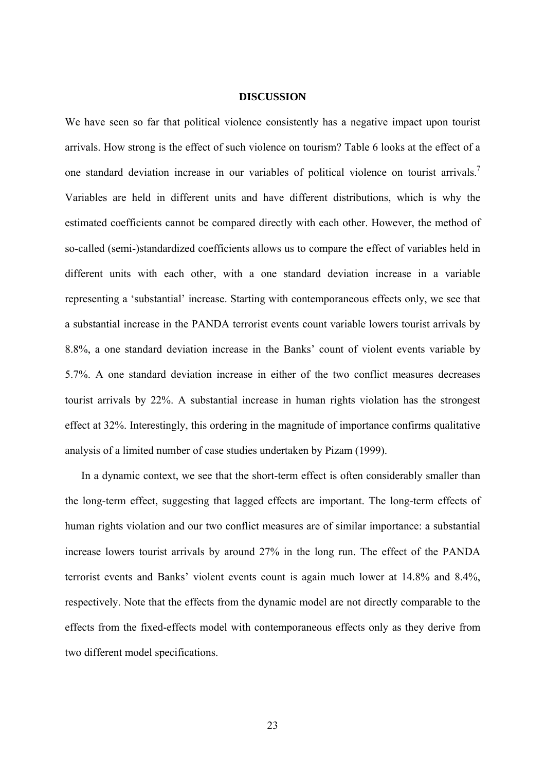#### **DISCUSSION**

We have seen so far that political violence consistently has a negative impact upon tourist arrivals. How strong is the effect of such violence on tourism? Table 6 looks at the effect of a one standard deviation increase in our variables of political violence on tourist arrivals.<sup>[7](#page-31-2)</sup> Variables are held in different units and have different distributions, which is why the estimated coefficients cannot be compared directly with each other. However, the method of so-called (semi-)standardized coefficients allows us to compare the effect of variables held in different units with each other, with a one standard deviation increase in a variable representing a 'substantial' increase. Starting with contemporaneous effects only, we see that a substantial increase in the PANDA terrorist events count variable lowers tourist arrivals by 8.8%, a one standard deviation increase in the Banks' count of violent events variable by 5.7%. A one standard deviation increase in either of the two conflict measures decreases tourist arrivals by 22%. A substantial increase in human rights violation has the strongest effect at 32%. Interestingly, this ordering in the magnitude of importance confirms qualitative analysis of a limited number of case studies undertaken by Pizam (1999).

In a dynamic context, we see that the short-term effect is often considerably smaller than the long-term effect, suggesting that lagged effects are important. The long-term effects of human rights violation and our two conflict measures are of similar importance: a substantial increase lowers tourist arrivals by around 27% in the long run. The effect of the PANDA terrorist events and Banks' violent events count is again much lower at 14.8% and 8.4%, respectively. Note that the effects from the dynamic model are not directly comparable to the effects from the fixed-effects model with contemporaneous effects only as they derive from two different model specifications.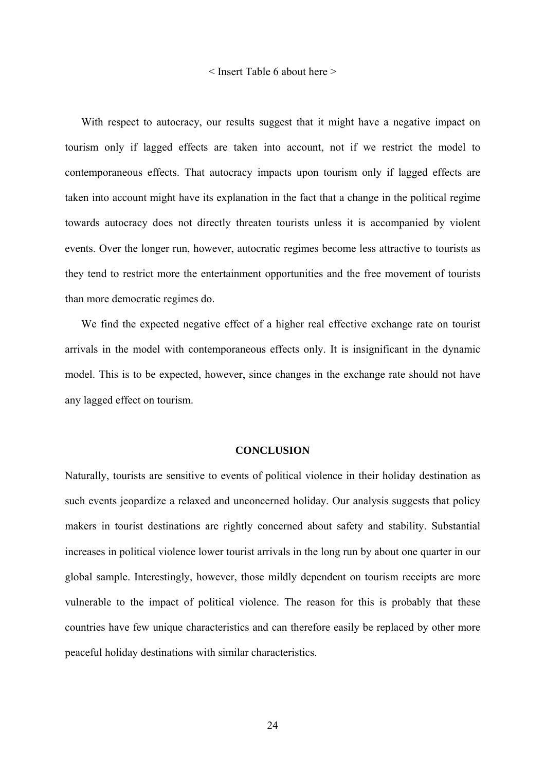#### < Insert Table 6 about here >

With respect to autocracy, our results suggest that it might have a negative impact on tourism only if lagged effects are taken into account, not if we restrict the model to contemporaneous effects. That autocracy impacts upon tourism only if lagged effects are taken into account might have its explanation in the fact that a change in the political regime towards autocracy does not directly threaten tourists unless it is accompanied by violent events. Over the longer run, however, autocratic regimes become less attractive to tourists as they tend to restrict more the entertainment opportunities and the free movement of tourists than more democratic regimes do.

We find the expected negative effect of a higher real effective exchange rate on tourist arrivals in the model with contemporaneous effects only. It is insignificant in the dynamic model. This is to be expected, however, since changes in the exchange rate should not have any lagged effect on tourism.

#### **CONCLUSION**

Naturally, tourists are sensitive to events of political violence in their holiday destination as such events jeopardize a relaxed and unconcerned holiday. Our analysis suggests that policy makers in tourist destinations are rightly concerned about safety and stability. Substantial increases in political violence lower tourist arrivals in the long run by about one quarter in our global sample. Interestingly, however, those mildly dependent on tourism receipts are more vulnerable to the impact of political violence. The reason for this is probably that these countries have few unique characteristics and can therefore easily be replaced by other more peaceful holiday destinations with similar characteristics.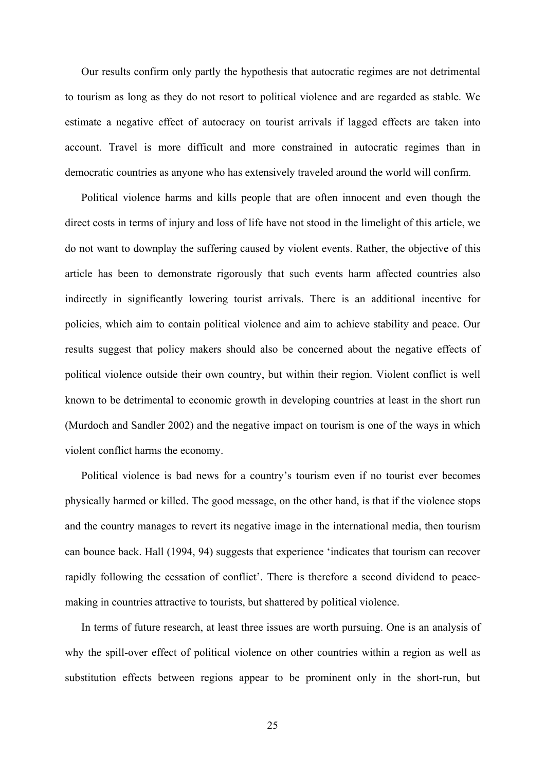Our results confirm only partly the hypothesis that autocratic regimes are not detrimental to tourism as long as they do not resort to political violence and are regarded as stable. We estimate a negative effect of autocracy on tourist arrivals if lagged effects are taken into account. Travel is more difficult and more constrained in autocratic regimes than in democratic countries as anyone who has extensively traveled around the world will confirm.

Political violence harms and kills people that are often innocent and even though the direct costs in terms of injury and loss of life have not stood in the limelight of this article, we do not want to downplay the suffering caused by violent events. Rather, the objective of this article has been to demonstrate rigorously that such events harm affected countries also indirectly in significantly lowering tourist arrivals. There is an additional incentive for policies, which aim to contain political violence and aim to achieve stability and peace. Our results suggest that policy makers should also be concerned about the negative effects of political violence outside their own country, but within their region. Violent conflict is well known to be detrimental to economic growth in developing countries at least in the short run (Murdoch and Sandler 2002) and the negative impact on tourism is one of the ways in which violent conflict harms the economy.

Political violence is bad news for a country's tourism even if no tourist ever becomes physically harmed or killed. The good message, on the other hand, is that if the violence stops and the country manages to revert its negative image in the international media, then tourism can bounce back. Hall (1994, 94) suggests that experience 'indicates that tourism can recover rapidly following the cessation of conflict'. There is therefore a second dividend to peacemaking in countries attractive to tourists, but shattered by political violence.

In terms of future research, at least three issues are worth pursuing. One is an analysis of why the spill-over effect of political violence on other countries within a region as well as substitution effects between regions appear to be prominent only in the short-run, but

25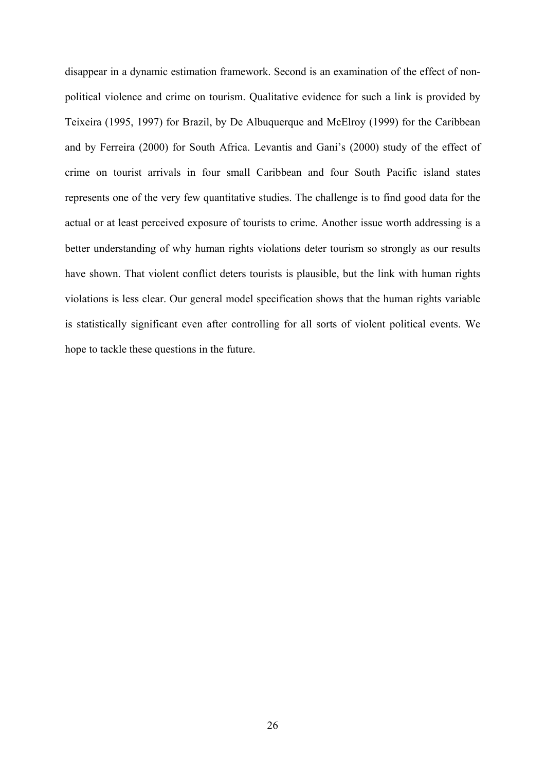disappear in a dynamic estimation framework. Second is an examination of the effect of nonpolitical violence and crime on tourism. Qualitative evidence for such a link is provided by Teixeira (1995, 1997) for Brazil, by De Albuquerque and McElroy (1999) for the Caribbean and by Ferreira (2000) for South Africa. Levantis and Gani's (2000) study of the effect of crime on tourist arrivals in four small Caribbean and four South Pacific island states represents one of the very few quantitative studies. The challenge is to find good data for the actual or at least perceived exposure of tourists to crime. Another issue worth addressing is a better understanding of why human rights violations deter tourism so strongly as our results have shown. That violent conflict deters tourists is plausible, but the link with human rights violations is less clear. Our general model specification shows that the human rights variable is statistically significant even after controlling for all sorts of violent political events. We hope to tackle these questions in the future.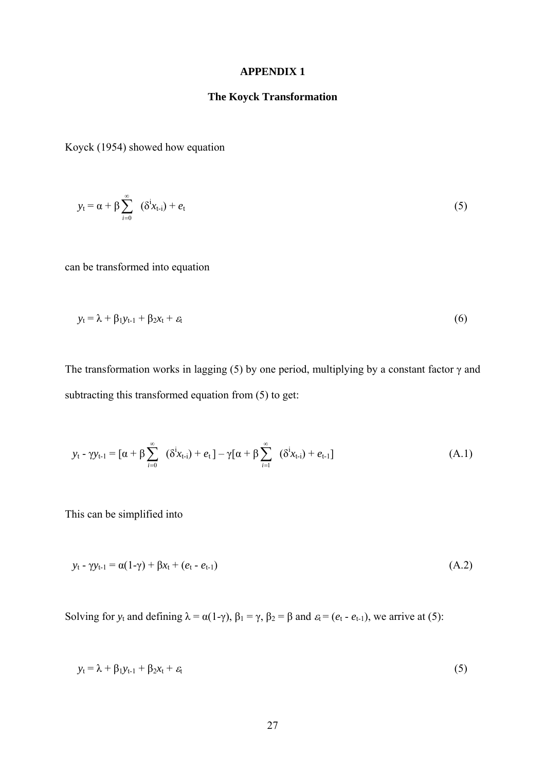#### **APPENDIX 1**

### **The Koyck Transformation**

Koyck (1954) showed how equation

$$
y_t = \alpha + \beta \sum_{i=0}^{\infty} (\delta^i x_{t-i}) + e_t
$$
 (5)

can be transformed into equation

$$
y_t = \lambda + \beta_1 y_{t-1} + \beta_2 x_t + \varepsilon_t \tag{6}
$$

The transformation works in lagging (5) by one period, multiplying by a constant factor  $\gamma$  and subtracting this transformed equation from (5) to get:

$$
y_{t} - \gamma y_{t-1} = [\alpha + \beta \sum_{i=0}^{\infty} (\delta^{i} x_{t-i}) + e_t] - \gamma [\alpha + \beta \sum_{i=1}^{\infty} (\delta^{i} x_{t-i}) + e_{t-1}]
$$
(A.1)

This can be simplified into

$$
y_t - \gamma y_{t-1} = \alpha(1-\gamma) + \beta x_t + (e_t - e_{t-1})
$$
\n(A.2)

Solving for  $y_t$  and defining  $\lambda = \alpha(1-\gamma)$ ,  $\beta_1 = \gamma$ ,  $\beta_2 = \beta$  and  $\varepsilon_t = (e_t - e_{t-1})$ , we arrive at (5):

$$
y_t = \lambda + \beta_1 y_{t-1} + \beta_2 x_t + \varepsilon_t \tag{5}
$$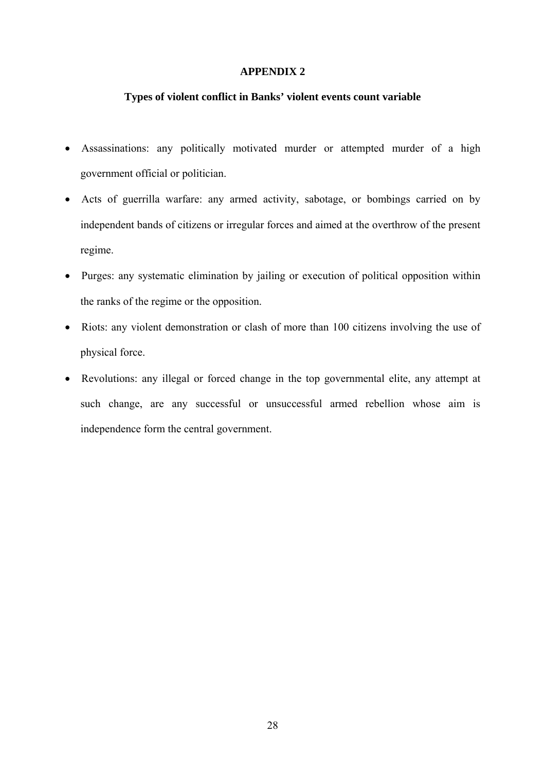#### **APPENDIX 2**

#### **Types of violent conflict in Banks' violent events count variable**

- Assassinations: any politically motivated murder or attempted murder of a high government official or politician.
- Acts of guerrilla warfare: any armed activity, sabotage, or bombings carried on by independent bands of citizens or irregular forces and aimed at the overthrow of the present regime.
- Purges: any systematic elimination by jailing or execution of political opposition within the ranks of the regime or the opposition.
- Riots: any violent demonstration or clash of more than 100 citizens involving the use of physical force.
- Revolutions: any illegal or forced change in the top governmental elite, any attempt at such change, are any successful or unsuccessful armed rebellion whose aim is independence form the central government.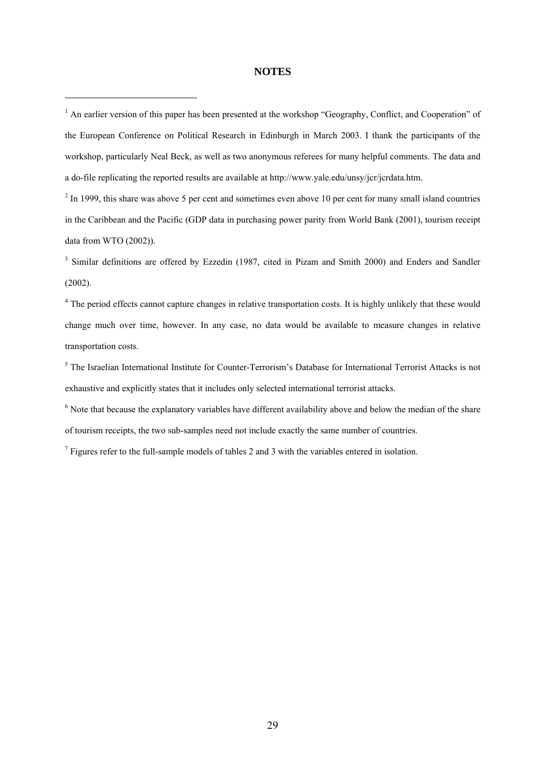#### **NOTES**

 $\overline{a}$ 

 $<sup>1</sup>$  An earlier version of this paper has been presented at the workshop "Geography, Conflict, and Cooperation" of</sup> the European Conference on Political Research in Edinburgh in March 2003. I thank the participants of the workshop, particularly Neal Beck, as well as two anonymous referees for many helpful comments. The data and a do-file replicating the reported results are available at http://www.yale.edu/unsy/jcr/jcrdata.htm.

 $2 \text{ In } 1999$ , this share was above 5 per cent and sometimes even above 10 per cent for many small island countries in the Caribbean and the Pacific (GDP data in purchasing power parity from World Bank (2001), tourism receipt data from WTO (2002)).

<sup>3</sup> Similar definitions are offered by Ezzedin (1987, cited in Pizam and Smith 2000) and Enders and Sandler (2002).

<sup>4</sup> The period effects cannot capture changes in relative transportation costs. It is highly unlikely that these would change much over time, however. In any case, no data would be available to measure changes in relative transportation costs.

<sup>5</sup> The Israelian International Institute for Counter-Terrorism's Database for International Terrorist Attacks is not exhaustive and explicitly states that it includes only selected international terrorist attacks.

<sup>6</sup> Note that because the explanatory variables have different availability above and below the median of the share of tourism receipts, the two sub-samples need not include exactly the same number of countries.

 $<sup>7</sup>$  Figures refer to the full-sample models of tables 2 and 3 with the variables entered in isolation.</sup>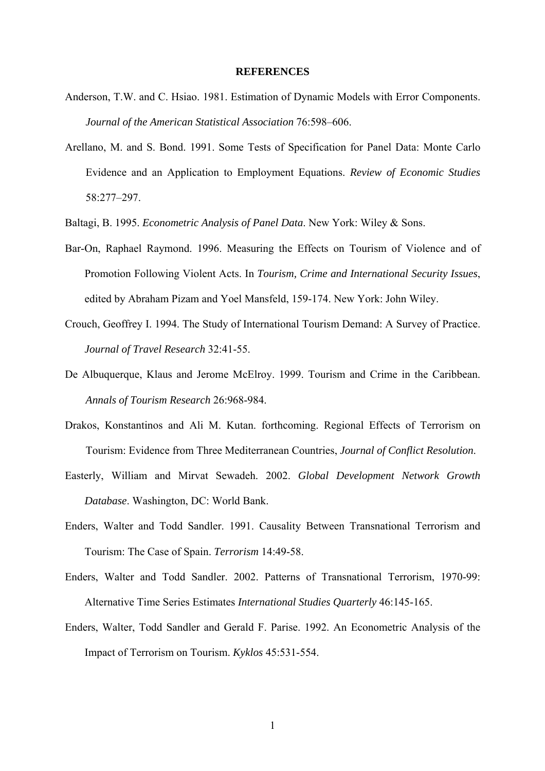#### **REFERENCES**

- <span id="page-31-4"></span><span id="page-31-0"></span>Anderson, T.W. and C. Hsiao. 1981. Estimation of Dynamic Models with Error Components. *Journal of the American Statistical Association* 76:598–606.
- <span id="page-31-2"></span>Arellano, M. and S. Bond. 1991. Some Tests of Specification for Panel Data: Monte Carlo Evidence and an Application to Employment Equations. *Review of Economic Studies* 58:277–297.
- Baltagi, B. 1995. *Econometric Analysis of Panel Data*. New York: Wiley & Sons.
- Bar-On, Raphael Raymond. 1996. Measuring the Effects on Tourism of Violence and of Promotion Following Violent Acts. In *Tourism, Crime and International Security Issues*, edited by Abraham Pizam and Yoel Mansfeld, 159-174. New York: John Wiley.
- Crouch, Geoffrey I. 1994. The Study of International Tourism Demand: A Survey of Practice. *Journal of Travel Research* 32:41-55.
- De Albuquerque, Klaus and Jerome McElroy. 1999. Tourism and Crime in the Caribbean. *Annals of Tourism Research* 26:968-984.
- Drakos, Konstantinos and Ali M. Kutan. forthcoming. Regional Effects of Terrorism on Tourism: Evidence from Three Mediterranean Countries, *Journal of Conflict Resolution*.
- <span id="page-31-1"></span>Easterly, William and Mirvat Sewadeh. 2002. *Global Development Network Growth Database*. Washington, DC: World Bank.
- <span id="page-31-5"></span>Enders, Walter and Todd Sandler. 1991. Causality Between Transnational Terrorism and Tourism: The Case of Spain. *Terrorism* 14:49-58.
- Enders, Walter and Todd Sandler. 2002. Patterns of Transnational Terrorism, 1970-99: Alternative Time Series Estimates *International Studies Quarterly* 46:145-165.
- <span id="page-31-3"></span>Enders, Walter, Todd Sandler and Gerald F. Parise. 1992. An Econometric Analysis of the Impact of Terrorism on Tourism. *Kyklos* 45:531-554.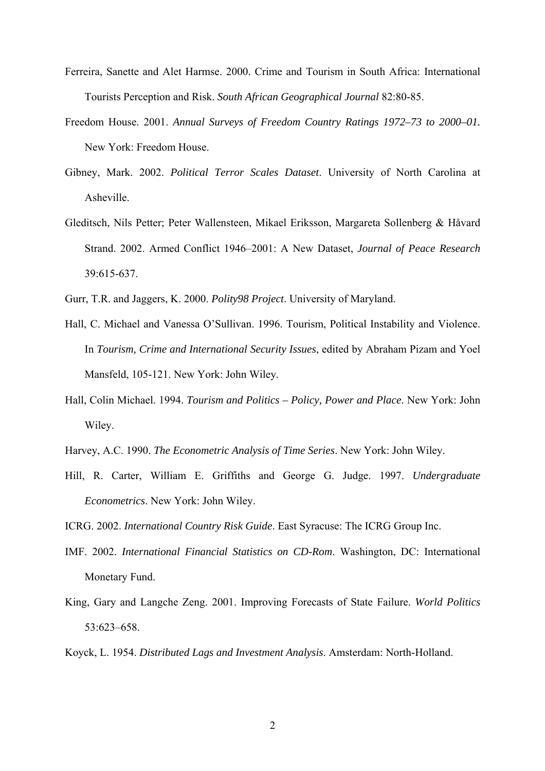- Ferreira, Sanette and Alet Harmse. 2000. Crime and Tourism in South Africa: International Tourists Perception and Risk. *South African Geographical Journal* 82:80-85.
- Freedom House. 2001. *Annual Surveys of Freedom Country Ratings 1972–73 to 2000–01.* New York: Freedom House.
- Gibney, Mark. 2002. *Political Terror Scales Dataset*. University of North Carolina at Asheville.
- Gleditsch, Nils Petter; Peter Wallensteen, Mikael Eriksson, Margareta Sollenberg & Håvard Strand. 2002. Armed Conflict 1946–2001: A New Dataset, *Journal of Peace Research* 39:615-637.
- Gurr, T.R. and Jaggers, K. 2000. *Polity98 Project*. University of Maryland.
- Hall, C. Michael and Vanessa O'Sullivan. 1996. Tourism, Political Instability and Violence. In *Tourism, Crime and International Security Issues*, edited by Abraham Pizam and Yoel Mansfeld, 105-121. New York: John Wiley.
- Hall, Colin Michael. 1994. *Tourism and Politics Policy, Power and Place*. New York: John Wiley.
- Harvey, A.C. 1990. *The Econometric Analysis of Time Series*. New York: John Wiley.
- Hill, R. Carter, William E. Griffiths and George G. Judge. 1997. *Undergraduate Econometrics*. New York: John Wiley.
- ICRG. 2002. *International Country Risk Guide*. East Syracuse: The ICRG Group Inc.
- IMF. 2002. *International Financial Statistics on CD-Rom*. Washington, DC: International Monetary Fund.
- King, Gary and Langche Zeng. 2001. Improving Forecasts of State Failure. *World Politics* 53:623–658.
- Koyck, L. 1954. *Distributed Lags and Investment Analysis*. Amsterdam: North-Holland.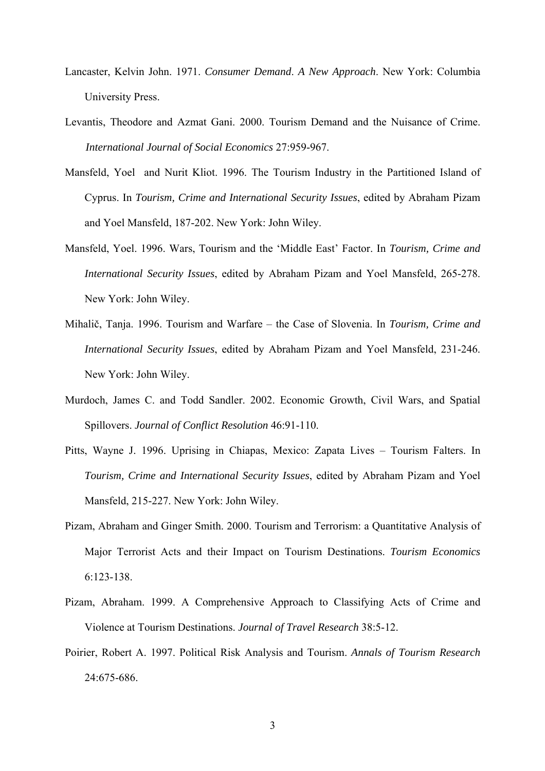- Lancaster, Kelvin John. 1971. *Consumer Demand*. *A New Approach*. New York: Columbia University Press.
- Levantis, Theodore and Azmat Gani. 2000. Tourism Demand and the Nuisance of Crime. *International Journal of Social Economics* 27:959-967.
- Mansfeld, Yoel and Nurit Kliot. 1996. The Tourism Industry in the Partitioned Island of Cyprus. In *Tourism, Crime and International Security Issues*, edited by Abraham Pizam and Yoel Mansfeld, 187-202. New York: John Wiley.
- Mansfeld, Yoel. 1996. Wars, Tourism and the 'Middle East' Factor. In *Tourism, Crime and International Security Issues*, edited by Abraham Pizam and Yoel Mansfeld, 265-278. New York: John Wiley.
- Mihalič, Tanja. 1996. Tourism and Warfare the Case of Slovenia. In *Tourism, Crime and International Security Issues*, edited by Abraham Pizam and Yoel Mansfeld, 231-246. New York: John Wiley.
- Murdoch, James C. and Todd Sandler. 2002. Economic Growth, Civil Wars, and Spatial Spillovers. *Journal of Conflict Resolution* 46:91-110.
- Pitts, Wayne J. 1996. Uprising in Chiapas, Mexico: Zapata Lives Tourism Falters. In *Tourism, Crime and International Security Issues*, edited by Abraham Pizam and Yoel Mansfeld, 215-227. New York: John Wiley.
- Pizam, Abraham and Ginger Smith. 2000. Tourism and Terrorism: a Quantitative Analysis of Major Terrorist Acts and their Impact on Tourism Destinations. *Tourism Economics* 6:123-138.
- Pizam, Abraham. 1999. A Comprehensive Approach to Classifying Acts of Crime and Violence at Tourism Destinations. *Journal of Travel Research* 38:5-12.
- Poirier, Robert A. 1997. Political Risk Analysis and Tourism. *Annals of Tourism Research* 24:675-686.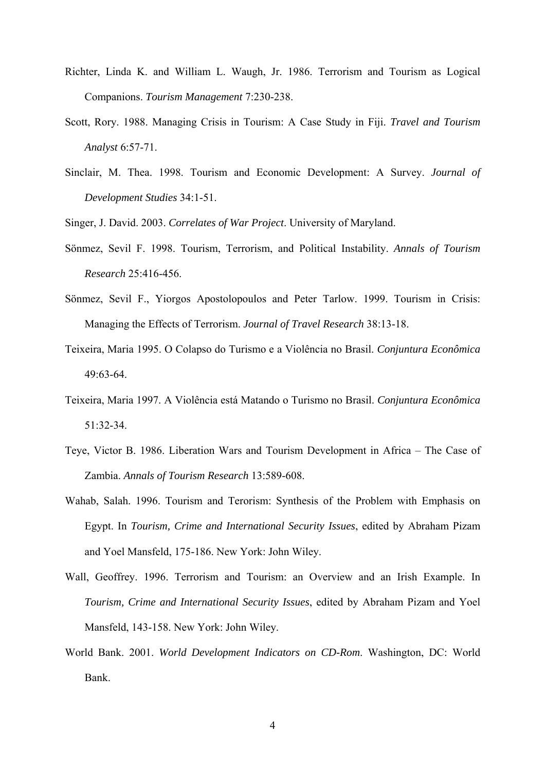- Richter, Linda K. and William L. Waugh, Jr. 1986. Terrorism and Tourism as Logical Companions. *Tourism Management* 7:230-238.
- Scott, Rory. 1988. Managing Crisis in Tourism: A Case Study in Fiji. *Travel and Tourism Analyst* 6:57-71.
- Sinclair, M. Thea. 1998. Tourism and Economic Development: A Survey. *Journal of Development Studies* 34:1-51.

Singer, J. David. 2003. *Correlates of War Project*. University of Maryland.

- Sönmez, Sevil F. 1998. Tourism, Terrorism, and Political Instability. *Annals of Tourism Research* 25:416-456.
- Sönmez, Sevil F., Yiorgos Apostolopoulos and Peter Tarlow. 1999. Tourism in Crisis: Managing the Effects of Terrorism. *Journal of Travel Research* 38:13-18.
- Teixeira, Maria 1995. O Colapso do Turismo e a Violência no Brasil. *Conjuntura Econômica* 49:63-64.
- Teixeira, Maria 1997. A Violência está Matando o Turismo no Brasil. *Conjuntura Econômica* 51:32-34.
- Teye, Victor B. 1986. Liberation Wars and Tourism Development in Africa The Case of Zambia. *Annals of Tourism Research* 13:589-608.
- Wahab, Salah. 1996. Tourism and Terorism: Synthesis of the Problem with Emphasis on Egypt. In *Tourism, Crime and International Security Issues*, edited by Abraham Pizam and Yoel Mansfeld, 175-186. New York: John Wiley.
- Wall, Geoffrey. 1996. Terrorism and Tourism: an Overview and an Irish Example. In *Tourism, Crime and International Security Issues*, edited by Abraham Pizam and Yoel Mansfeld, 143-158. New York: John Wiley.
- World Bank. 2001. *World Development Indicators on CD-Rom*. Washington, DC: World Bank.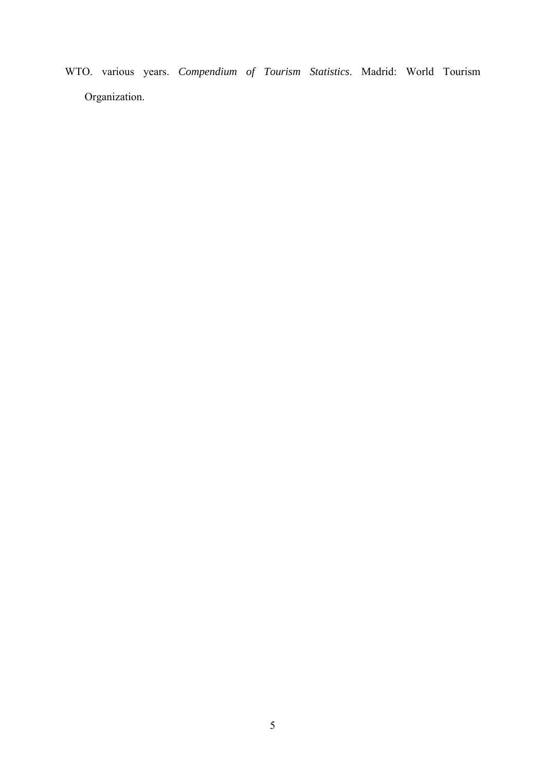WTO. various years. *Compendium of Tourism Statistics*. Madrid: World Tourism Organization.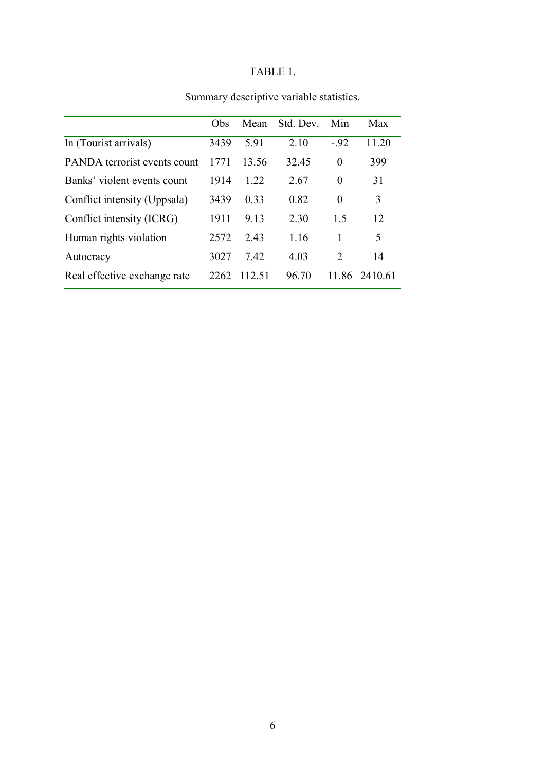# TABLE 1.

|                              | Obs  | Mean   | Std. Dev. | Min           | Max     |
|------------------------------|------|--------|-----------|---------------|---------|
| In (Tourist arrivals)        | 3439 | 5.91   | 2.10      | $-.92$        | 11.20   |
| PANDA terrorist events count | 1771 | 13.56  | 32.45     | $\theta$      | 399     |
| Banks' violent events count  | 1914 | 1 2 2  | 2.67      | $\theta$      | 31      |
| Conflict intensity (Uppsala) | 3439 | 0.33   | 0.82      | 0             | 3       |
| Conflict intensity (ICRG)    | 1911 | 9.13   | 2.30      | 1.5           | 12      |
| Human rights violation       | 2572 | 243    | 1.16      | 1             | 5       |
| Autocracy                    | 3027 | 7.42   | 4.03      | $\mathcal{L}$ | 14      |
| Real effective exchange rate | 2262 | 112.51 | 96.70     | 11.86         | 2410.61 |

# Summary descriptive variable statistics.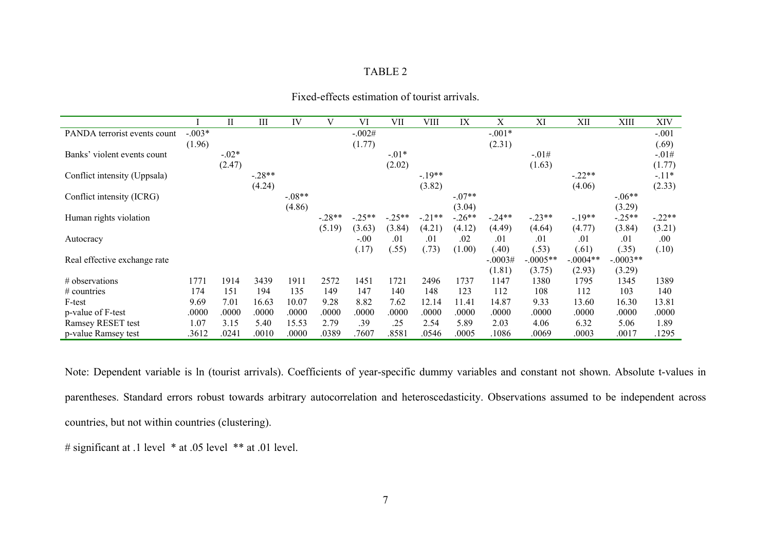|                              |          | П       | Ш        | IV       | V        | VI       | VII      | VIII     | IX       | Χ         | XI         | XII        | XIII       | <b>XIV</b> |
|------------------------------|----------|---------|----------|----------|----------|----------|----------|----------|----------|-----------|------------|------------|------------|------------|
| PANDA terrorist events count | $-.003*$ |         |          |          |          | $-.002#$ |          |          |          | $-.001*$  |            |            |            | $-.001$    |
|                              | (1.96)   |         |          |          |          | (1.77)   |          |          |          | (2.31)    |            |            |            | (.69)      |
| Banks' violent events count  |          | $-.02*$ |          |          |          |          | $-.01*$  |          |          |           | $-.01#$    |            |            | $-.01#$    |
|                              |          | (2.47)  |          |          |          |          | (2.02)   |          |          |           | (1.63)     |            |            | (1.77)     |
| Conflict intensity (Uppsala) |          |         | $-.28**$ |          |          |          |          | $-19**$  |          |           |            | $-.22**$   |            | $-11*$     |
|                              |          |         | (4.24)   |          |          |          |          | (3.82)   |          |           |            | (4.06)     |            | (2.33)     |
| Conflict intensity (ICRG)    |          |         |          | $-.08**$ |          |          |          |          | $-07**$  |           |            |            | $-06**$    |            |
|                              |          |         |          | (4.86)   |          |          |          |          | (3.04)   |           |            |            | (3.29)     |            |
| Human rights violation       |          |         |          |          | $-.28**$ | $-.25**$ | $-.25**$ | $-.21**$ | $-.26**$ | $-24**$   | $-.23**$   | $-19**$    | $-.25**$   | $-.22**$   |
|                              |          |         |          |          | (5.19)   | (3.63)   | (3.84)   | (4.21)   | (4.12)   | (4.49)    | (4.64)     | (4.77)     | (3.84)     | (3.21)     |
| Autocracy                    |          |         |          |          |          | $-.00$   | .01      | .01      | .02      | .01       | .01        | .01        | .01        | .00        |
|                              |          |         |          |          |          | (.17)    | (.55)    | (.73)    | (1.00)   | (.40)     | (.53)      | (.61)      | (.35)      | (.10)      |
| Real effective exchange rate |          |         |          |          |          |          |          |          |          | $-.0003#$ | $-.0005**$ | $-.0004**$ | $-.0003**$ |            |
|                              |          |         |          |          |          |          |          |          |          | (1.81)    | (3.75)     | (2.93)     | (3.29)     |            |
| $\#$ observations            | 1771     | 1914    | 3439     | 1911     | 2572     | 1451     | 1721     | 2496     | 1737     | 1147      | 1380       | 1795       | 1345       | 1389       |
| $#$ countries                | 174      | 151     | 194      | 135      | 149      | 147      | 140      | 148      | 123      | 112       | 108        | 112        | 103        | 140        |
| F-test                       | 9.69     | 7.01    | 16.63    | 10.07    | 9.28     | 8.82     | 7.62     | 12.14    | 11.41    | 14.87     | 9.33       | 13.60      | 16.30      | 13.81      |
| p-value of F-test            | .0000    | .0000   | .0000    | .0000    | .0000    | .0000    | .0000    | .0000    | .0000    | .0000     | .0000      | .0000      | .0000      | .0000      |
| Ramsey RESET test            | 1.07     | 3.15    | 5.40     | 15.53    | 2.79     | .39      | .25      | 2.54     | 5.89     | 2.03      | 4.06       | 6.32       | 5.06       | 1.89       |
| p-value Ramsey test          | .3612    | .0241   | .0010    | .0000    | .0389    | .7607    | .8581    | .0546    | .0005    | .1086     | .0069      | .0003      | .0017      | 1295       |

Fixed-effects estimation of tourist arrivals.

Note: Dependent variable is ln (tourist arrivals). Coefficients of year-specific dummy variables and constant not shown. Absolute t-values in parentheses. Standard errors robust towards arbitrary autocorrelation and heteroscedasticity. Observations assumed to be independent across countries, but not within countries (clustering).

# significant at .1 level \* at .05 level \*\* at .01 level.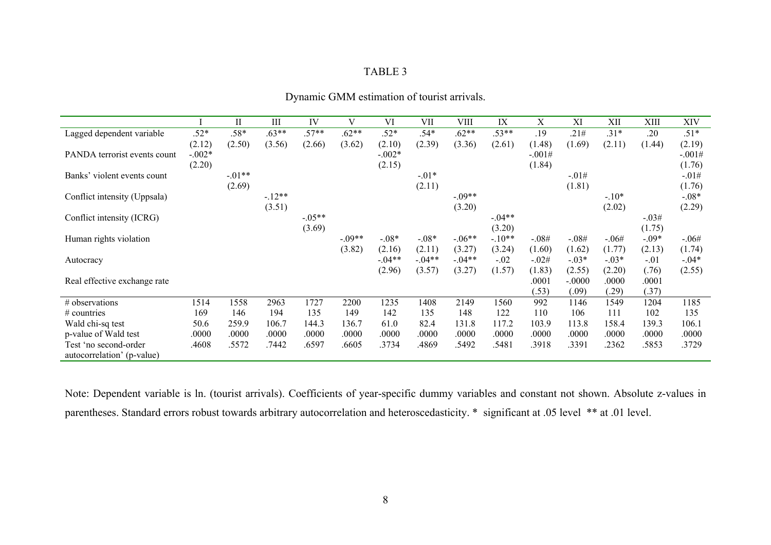|                              |          | $_{\rm II}$ | Ш       | IV        | V         | VI        | VII      | VIII     | IX      | Χ              | XI                | XІІ            | XIII           | XIV      |
|------------------------------|----------|-------------|---------|-----------|-----------|-----------|----------|----------|---------|----------------|-------------------|----------------|----------------|----------|
| Lagged dependent variable    | $.52*$   | $.58*$      | $.63**$ | $.57**$   | $.62**$   | $.52*$    | $.54*$   | $.62**$  | $.53**$ | .19            | .21#              | $.31*$         | .20            | $.51*$   |
|                              | (2.12)   | (2.50)      | (3.56)  | (2.66)    | (3.62)    | (2.10)    | (2.39)   | (3.36)   | (2.61)  | (1.48)         | (1.69)            | (2.11)         | (1.44)         | (2.19)   |
| PANDA terrorist events count | $-.002*$ |             |         |           |           | $-.002*$  |          |          |         | $-.001#$       |                   |                |                | $-.001#$ |
|                              | (2.20)   |             |         |           |           | (2.15)    |          |          |         | (1.84)         |                   |                |                | (1.76)   |
| Banks' violent events count  |          | $-01**$     |         |           |           |           | $-0.01*$ |          |         |                | $-.01#$           |                |                | $-.01#$  |
|                              |          | (2.69)      |         |           |           |           | (2.11)   |          |         |                | (1.81)            |                |                | (1.76)   |
| Conflict intensity (Uppsala) |          |             | $-12**$ |           |           |           |          | $-09**$  |         |                |                   | $-.10*$        |                | $-.08*$  |
|                              |          |             | (3.51)  |           |           |           |          | (3.20)   |         |                |                   | (2.02)         |                | (2.29)   |
| Conflict intensity (ICRG)    |          |             |         | $-0.05**$ |           |           |          |          | $-04**$ |                |                   |                | $-.03#$        |          |
|                              |          |             |         | (3.69)    |           |           |          |          | (3.20)  |                |                   |                | (1.75)         |          |
| Human rights violation       |          |             |         |           | $-0.09**$ | $-.08*$   | $-0.08*$ | $-.06**$ | $-10**$ | $-.08#$        | $-.08#$           | $-.06#$        | $-.09*$        | $-.06#$  |
|                              |          |             |         |           | (3.82)    | (2.16)    | (2.11)   | (3.27)   | (3.24)  | (1.60)         | (1.62)            | (1.77)         | (2.13)         | (1.74)   |
| Autocracy                    |          |             |         |           |           | $-0.04**$ | $-.04**$ | $-.04**$ | $-.02$  | $-.02#$        | $-.03*$           | $-.03*$        | $-.01$         | $-0.04*$ |
|                              |          |             |         |           |           | (2.96)    | (3.57)   | (3.27)   | (1.57)  | (1.83)         | (2.55)            | (2.20)         | (.76)          | (2.55)   |
| Real effective exchange rate |          |             |         |           |           |           |          |          |         | .0001<br>(.53) | $-.0000$<br>(.09) | .0000<br>(.29) | .0001<br>(.37) |          |
| # observations               | 1514     | 1558        | 2963    | 1727      | 2200      | 1235      | 1408     | 2149     | 1560    | 992            | 1146              | 1549           | 1204           | 1185     |
| $\#$ countries               | 169      | 146         | 194     | 135       | 149       | 142       | 135      | 148      | 122     | 110            | 106               | 111            | 102            | 135      |
|                              |          |             |         |           |           |           |          |          |         |                |                   |                |                |          |
| Wald chi-sq test             | 50.6     | 259.9       | 106.7   | 144.3     | 136.7     | 61.0      | 82.4     | 131.8    | 117.2   | 103.9          | 113.8             | 158.4          | 139.3          | 106.1    |
| p-value of Wald test         | .0000    | .0000       | .0000   | .0000     | .0000     | .0000     | .0000    | .0000    | .0000   | .0000          | .0000             | .0000          | .0000          | .0000    |
| Test 'no second-order        | .4608    | .5572       | .7442   | .6597     | .6605     | .3734     | .4869    | .5492    | .5481   | .3918          | .3391             | .2362          | .5853          | .3729    |
| autocorrelation' (p-value)   |          |             |         |           |           |           |          |          |         |                |                   |                |                |          |

Dynamic GMM estimation of tourist arrivals.

Note: Dependent variable is ln. (tourist arrivals). Coefficients of year-specific dummy variables and constant not shown. Absolute z-values in parentheses. Standard errors robust towards arbitrary autocorrelation and heteroscedasticity. \* significant at .05 level \*\* at .01 level.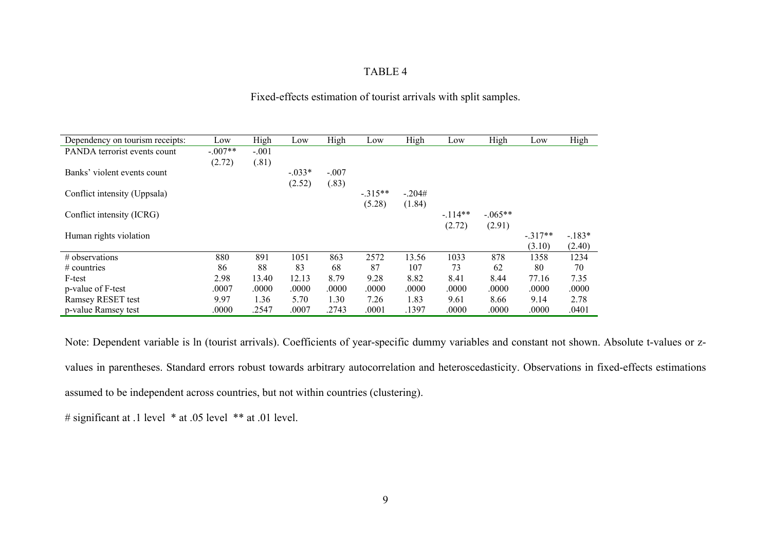| Fixed-effects estimation of tourist arrivals with split samples. |  |  |  |
|------------------------------------------------------------------|--|--|--|
|                                                                  |  |  |  |

| Dependency on tourism receipts: | Low       | High    | Low       | High    | Low      | High     | Low      | High       | Low       | High    |
|---------------------------------|-----------|---------|-----------|---------|----------|----------|----------|------------|-----------|---------|
| PANDA terrorist events count    | $-.007**$ | $-.001$ |           |         |          |          |          |            |           |         |
|                                 | (2.72)    | (.81)   |           |         |          |          |          |            |           |         |
| Banks' violent events count     |           |         | $-0.033*$ | $-.007$ |          |          |          |            |           |         |
|                                 |           |         | (2.52)    | (.83)   |          |          |          |            |           |         |
| Conflict intensity (Uppsala)    |           |         |           |         | $-315**$ | $-.204#$ |          |            |           |         |
|                                 |           |         |           |         | (5.28)   | (1.84)   |          |            |           |         |
| Conflict intensity (ICRG)       |           |         |           |         |          |          | $-114**$ | $-0.065**$ |           |         |
|                                 |           |         |           |         |          |          | (2.72)   | (2.91)     |           |         |
| Human rights violation          |           |         |           |         |          |          |          |            | $-.317**$ | $-183*$ |
|                                 |           |         |           |         |          |          |          |            | (3.10)    | (2.40)  |
| # observations                  | 880       | 891     | 1051      | 863     | 2572     | 13.56    | 1033     | 878        | 1358      | 1234    |
| $\#$ countries                  | 86        | 88      | 83        | 68      | 87       | 107      | 73       | 62         | 80        | 70      |
| F-test                          | 2.98      | 13.40   | 12.13     | 8.79    | 9.28     | 8.82     | 8.41     | 8.44       | 77.16     | 7.35    |
| p-value of F-test               | .0007     | .0000   | .0000     | .0000   | .0000    | .0000    | .0000    | .0000      | .0000     | .0000   |
| Ramsey RESET test               | 9.97      | 1.36    | 5.70      | 1.30    | 7.26     | 1.83     | 9.61     | 8.66       | 9.14      | 2.78    |
| p-value Ramsey test             | .0000     | .2547   | .0007     | .2743   | .0001    | .1397    | .0000    | .0000      | .0000     | .0401   |

Note: Dependent variable is ln (tourist arrivals). Coefficients of year-specific dummy variables and constant not shown. Absolute t-values or zvalues in parentheses. Standard errors robust towards arbitrary autocorrelation and heteroscedasticity. Observations in fixed-effects estimations assumed to be independent across countries, but not within countries (clustering).

# significant at .1 level \* at .05 level \*\* at .01 level.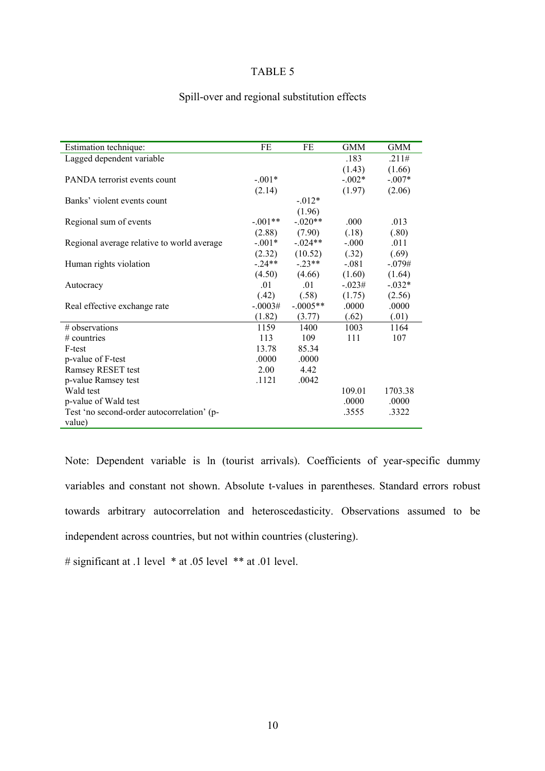### Spill-over and regional substitution effects

| Estimation technique:                      | FE        | FE         | <b>GMM</b> | GMM      |
|--------------------------------------------|-----------|------------|------------|----------|
| Lagged dependent variable                  |           |            | .183       | .211#    |
|                                            |           |            | (1.43)     | (1.66)   |
| PANDA terrorist events count               | $-.001*$  |            | $-0.002*$  | $-.007*$ |
|                                            | (2.14)    |            | (1.97)     | (2.06)   |
| Banks' violent events count                |           | $-0.012*$  |            |          |
|                                            |           | (1.96)     |            |          |
| Regional sum of events                     | $-.001**$ | $-.020**$  | .000       | .013     |
|                                            | (2.88)    | (7.90)     | (.18)      | (.80)    |
| Regional average relative to world average | $-.001*$  | $-.024**$  | $-.000$    | .011     |
|                                            | (2.32)    | (10.52)    | (.32)      | (.69)    |
| Human rights violation                     | $-24**$   | $-23**$    | $-081$     | $-.079#$ |
|                                            | (4.50)    | (4.66)     | (1.60)     | (1.64)   |
| Autocracy                                  | 01        | .01        | $-.023#$   | $-.032*$ |
|                                            | (.42)     | (.58)      | (1.75)     | (2.56)   |
| Real effective exchange rate               | $-.0003#$ | $-.0005**$ | .0000      | .0000    |
|                                            | (1.82)    | (3.77)     | (.62)      | (.01)    |
| $#$ observations                           | 1159      | 1400       | 1003       | 1164     |
| $#$ countries                              | 113       | 109        | 111        | 107      |
| F-test                                     | 13.78     | 85.34      |            |          |
| p-value of F-test                          | .0000     | .0000      |            |          |
| Ramsey RESET test                          | 2.00      | 4.42       |            |          |
| p-value Ramsey test                        | .1121     | .0042      |            |          |
| Wald test                                  |           |            | 109.01     | 1703.38  |
| p-value of Wald test                       |           |            | .0000      | .0000    |
| Test 'no second-order autocorrelation' (p- |           |            | .3555      | .3322    |
| value)                                     |           |            |            |          |

Note: Dependent variable is ln (tourist arrivals). Coefficients of year-specific dummy variables and constant not shown. Absolute t-values in parentheses. Standard errors robust towards arbitrary autocorrelation and heteroscedasticity. Observations assumed to be independent across countries, but not within countries (clustering).

# significant at .1 level \* at .05 level \*\* at .01 level.